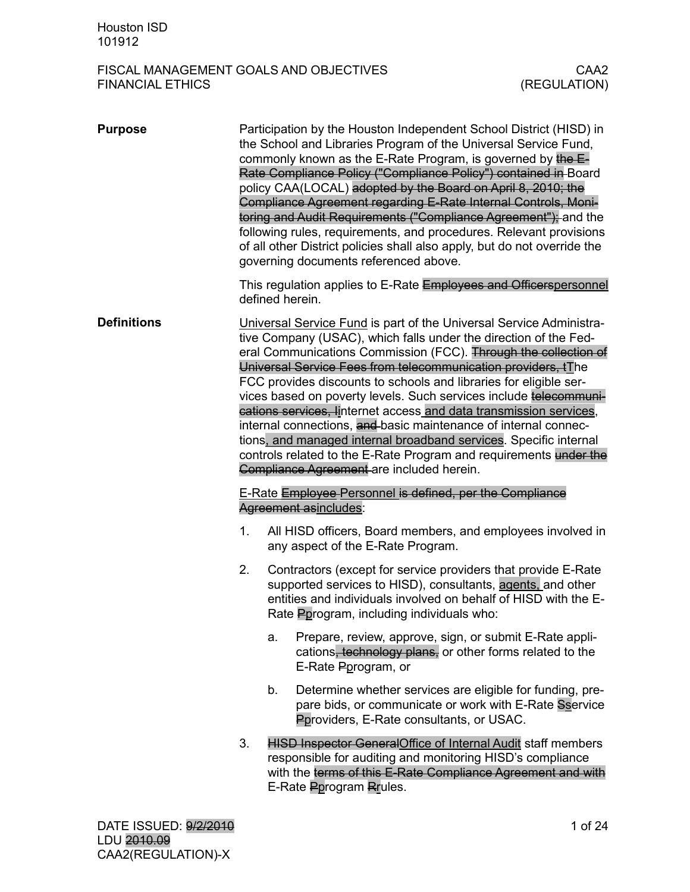| <b>Purpose</b>     |    |    | Participation by the Houston Independent School District (HISD) in<br>the School and Libraries Program of the Universal Service Fund,<br>commonly known as the E-Rate Program, is governed by the E-<br>Rate Compliance Policy ("Compliance Policy") contained in Board<br>policy CAA(LOCAL) adopted by the Board on April 8, 2010; the<br>Compliance Agreement regarding E-Rate Internal Controls, Moni-<br>toring and Audit Requirements ("Compliance Agreement"); and the<br>following rules, requirements, and procedures. Relevant provisions<br>of all other District policies shall also apply, but do not override the<br>governing documents referenced above.                                                                               |
|--------------------|----|----|-------------------------------------------------------------------------------------------------------------------------------------------------------------------------------------------------------------------------------------------------------------------------------------------------------------------------------------------------------------------------------------------------------------------------------------------------------------------------------------------------------------------------------------------------------------------------------------------------------------------------------------------------------------------------------------------------------------------------------------------------------|
|                    |    |    | This regulation applies to E-Rate Employees and Officerspersonnel<br>defined herein.                                                                                                                                                                                                                                                                                                                                                                                                                                                                                                                                                                                                                                                                  |
| <b>Definitions</b> |    |    | Universal Service Fund is part of the Universal Service Administra-<br>tive Company (USAC), which falls under the direction of the Fed-<br>eral Communications Commission (FCC). Through the collection of<br>Universal Service Fees from telecommunication providers, tThe<br>FCC provides discounts to schools and libraries for eligible ser-<br>vices based on poverty levels. Such services include telecommuni-<br>cations services, linternet access and data transmission services,<br>internal connections, and basic maintenance of internal connec-<br>tions, and managed internal broadband services. Specific internal<br>controls related to the E-Rate Program and requirements under the<br>Compliance Agreement are included herein. |
|                    |    |    | E-Rate Employee Personnel is defined, per the Compliance<br>Agreement asincludes:                                                                                                                                                                                                                                                                                                                                                                                                                                                                                                                                                                                                                                                                     |
|                    | 1. |    | All HISD officers, Board members, and employees involved in<br>any aspect of the E-Rate Program.                                                                                                                                                                                                                                                                                                                                                                                                                                                                                                                                                                                                                                                      |
|                    | 2. |    | Contractors (except for service providers that provide E-Rate<br>supported services to HISD), consultants, agents, and other<br>entities and individuals involved on behalf of HISD with the E-<br>Rate Pprogram, including individuals who:                                                                                                                                                                                                                                                                                                                                                                                                                                                                                                          |
|                    |    | a. | Prepare, review, approve, sign, or submit E-Rate appli-<br>cations, technology plans, or other forms related to the<br>E-Rate Pprogram, or                                                                                                                                                                                                                                                                                                                                                                                                                                                                                                                                                                                                            |
|                    |    | b. | Determine whether services are eligible for funding, pre-<br>pare bids, or communicate or work with E-Rate Sservice<br>Pproviders, E-Rate consultants, or USAC.                                                                                                                                                                                                                                                                                                                                                                                                                                                                                                                                                                                       |
|                    | 3. |    | <b>HISD Inspector GeneralOffice of Internal Audit staff members</b><br>responsible for auditing and monitoring HISD's compliance<br>with the terms of this E-Rate Compliance Agreement and with<br>E-Rate Pprogram Rrules.                                                                                                                                                                                                                                                                                                                                                                                                                                                                                                                            |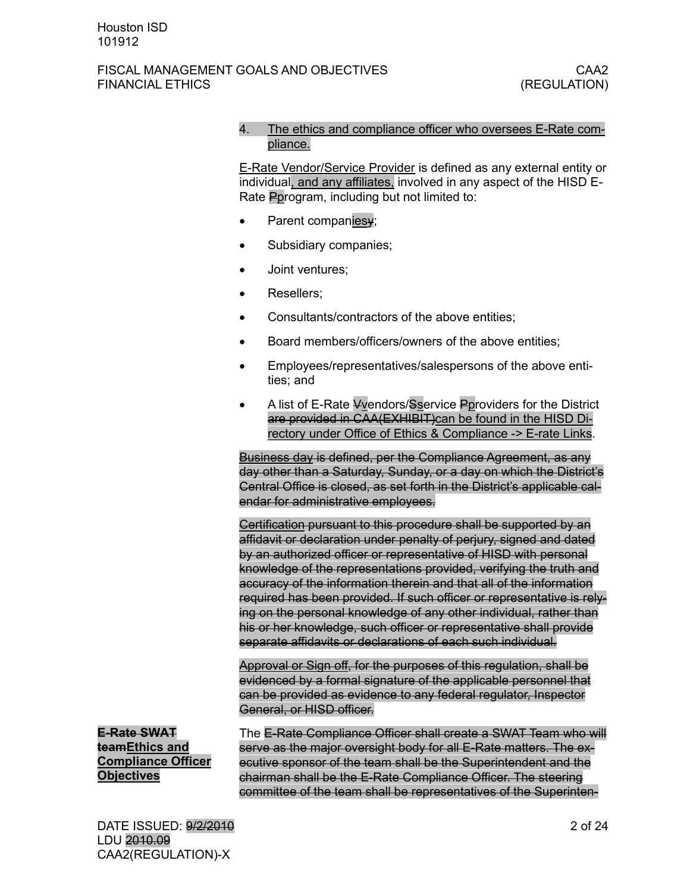### 4. The ethics and compliance officer who oversees E-Rate compliance.

E-Rate Vendor/Service Provider is defined as any external entity or individual, and any affiliates, involved in any aspect of the HISD E-Rate Pprogram, including but not limited to:

- Parent companiesy;
- Subsidiary companies;
- Joint ventures;
- Resellers;
- Consultants/contractors of the above entities;
- Board members/officers/owners of the above entities:
- Employees/representatives/salespersons of the above entities; and
- A list of E-Rate Vvendors/Sservice Pproviders for the District are provided in CAA(EXHIBIT)can be found in the HISD Directory under Office of Ethics & Compliance -> E-rate Links.

Business day is defined, per the Compliance Agreement, as any day other than a Saturday, Sunday, or a day on which the District's Central Office is closed, as set forth in the District's applicable calendar for administrative employees.

Certification pursuant to this procedure shall be supported by an affidavit or declaration under penalty of perjury, signed and dated by an authorized officer or representative of HISD with personal knowledge of the representations provided, verifying the truth and accuracy of the information therein and that all of the information required has been provided. If such officer or representative is relying on the personal knowledge of any other individual, rather than his or her knowledge, such officer or representative shall provide separate affidavits or declarations of each such individual.

Approval or Sign off, for the purposes of this regulation, shall be evidenced by a formal signature of the applicable personnel that can be provided as evidence to any federal regulator, Inspector General, or HISD officer.

**E-Rate SWAT teamEthics and Compliance Officer Objectives** 

The E-Rate Compliance Officer shall create a SWAT Team who will serve as the major oversight body for all E-Rate matters. The executive sponsor of the team shall be the Superintendent and the chairman shall be the E-Rate Compliance Officer. The steering committee of the team shall be representatives of the Superinten-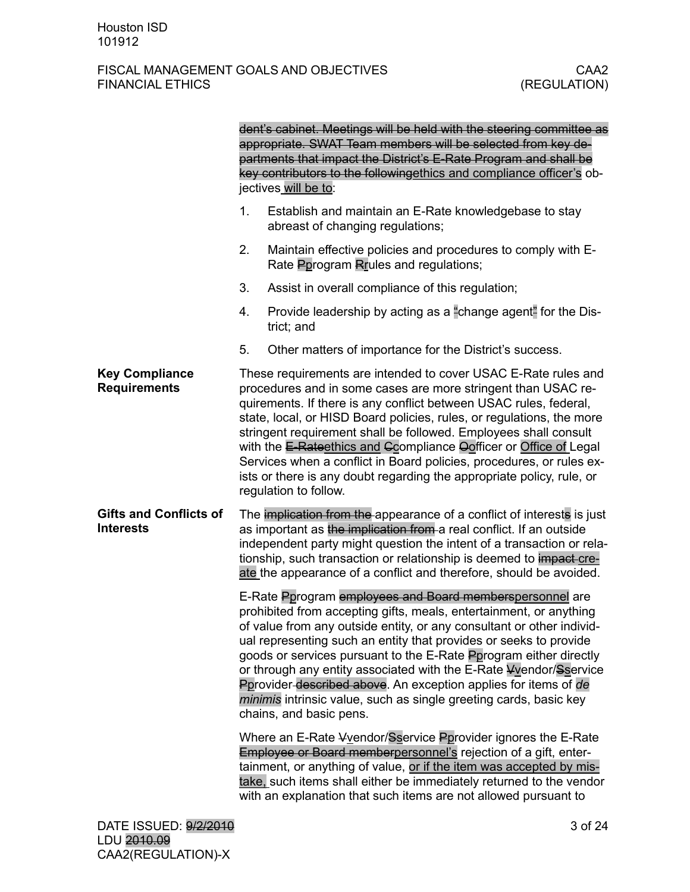|                                                   |    | dent's cabinet. Meetings will be held with the steering committee as<br>appropriate. SWAT Team members will be selected from key de-<br>partments that impact the District's E-Rate Program and shall be<br>key contributors to the followingethics and compliance officer's ob-<br>jectives will be to:                                                                                                                                                                                                                                                                                         |
|---------------------------------------------------|----|--------------------------------------------------------------------------------------------------------------------------------------------------------------------------------------------------------------------------------------------------------------------------------------------------------------------------------------------------------------------------------------------------------------------------------------------------------------------------------------------------------------------------------------------------------------------------------------------------|
|                                                   | 1. | Establish and maintain an E-Rate knowledgebase to stay<br>abreast of changing regulations;                                                                                                                                                                                                                                                                                                                                                                                                                                                                                                       |
|                                                   | 2. | Maintain effective policies and procedures to comply with E-<br>Rate Pprogram Rrules and regulations;                                                                                                                                                                                                                                                                                                                                                                                                                                                                                            |
|                                                   | 3. | Assist in overall compliance of this regulation;                                                                                                                                                                                                                                                                                                                                                                                                                                                                                                                                                 |
|                                                   | 4. | Provide leadership by acting as a "change agent" for the Dis-<br>trict; and                                                                                                                                                                                                                                                                                                                                                                                                                                                                                                                      |
|                                                   | 5. | Other matters of importance for the District's success.                                                                                                                                                                                                                                                                                                                                                                                                                                                                                                                                          |
| <b>Key Compliance</b><br><b>Requirements</b>      |    | These requirements are intended to cover USAC E-Rate rules and<br>procedures and in some cases are more stringent than USAC re-<br>quirements. If there is any conflict between USAC rules, federal,<br>state, local, or HISD Board policies, rules, or regulations, the more<br>stringent requirement shall be followed. Employees shall consult<br>with the E-Rateethics and Ccompliance Oofficer or Office of Legal<br>Services when a conflict in Board policies, procedures, or rules ex-<br>ists or there is any doubt regarding the appropriate policy, rule, or<br>regulation to follow. |
| <b>Gifts and Conflicts of</b><br><b>Interests</b> |    | The implication from the appearance of a conflict of interests is just<br>as important as the implication from a real conflict. If an outside<br>independent party might question the intent of a transaction or rela-<br>tionship, such transaction or relationship is deemed to impact cre-<br>ate the appearance of a conflict and therefore, should be avoided.                                                                                                                                                                                                                              |
|                                                   |    | E-Rate Pprogram employees and Board memberspersonnel are<br>prohibited from accepting gifts, meals, entertainment, or anything<br>of value from any outside entity, or any consultant or other individ-<br>ual representing such an entity that provides or seeks to provide<br>goods or services pursuant to the E-Rate Pprogram either directly<br>or through any entity associated with the E-Rate Vyendor/Sservice<br>Pprovider described above. An exception applies for items of de<br>minimis intrinsic value, such as single greeting cards, basic key<br>chains, and basic pens.        |
|                                                   |    | Where an E-Rate Vvendor/Sservice Pprovider ignores the E-Rate<br>Employee or Board memberpersonnel's rejection of a gift, enter-<br>tainment, or anything of value, or if the item was accepted by mis-<br>take, such items shall either be immediately returned to the vendor<br>with an explanation that such items are not allowed pursuant to                                                                                                                                                                                                                                                |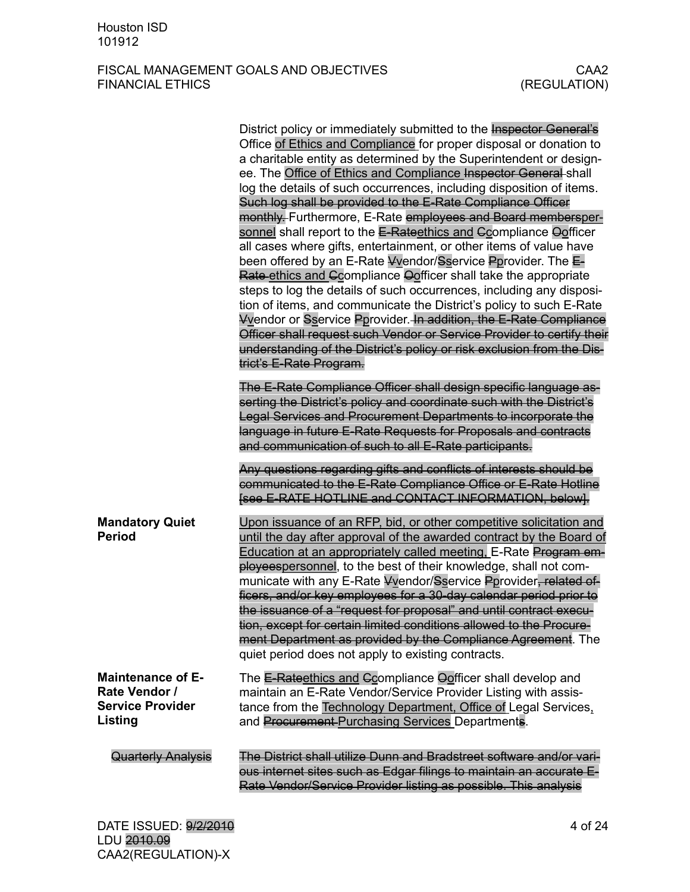|                                                                                 | District policy or immediately submitted to the <b>Inspector General's</b><br>Office of Ethics and Compliance for proper disposal or donation to<br>a charitable entity as determined by the Superintendent or design-<br>ee. The Office of Ethics and Compliance Inspector General shall<br>log the details of such occurrences, including disposition of items.<br>Such log shall be provided to the E-Rate Compliance Officer<br>monthly. Furthermore, E-Rate employees and Board membersper-<br>sonnel shall report to the E-Rateethics and Compliance Oofficer<br>all cases where gifts, entertainment, or other items of value have<br>been offered by an E-Rate Vvendor/Sservice Pprovider. The E-<br>Rate ethics and Ccompliance Oofficer shall take the appropriate<br>steps to log the details of such occurrences, including any disposi-<br>tion of items, and communicate the District's policy to such E-Rate<br><b>Vyendor or Sservice Pprovider. In addition, the E-Rate Compliance</b><br>Officer shall request such Vendor or Service Provider to certify their<br>understanding of the District's policy or risk exclusion from the Dis-<br>trict's E-Rate Program. |
|---------------------------------------------------------------------------------|----------------------------------------------------------------------------------------------------------------------------------------------------------------------------------------------------------------------------------------------------------------------------------------------------------------------------------------------------------------------------------------------------------------------------------------------------------------------------------------------------------------------------------------------------------------------------------------------------------------------------------------------------------------------------------------------------------------------------------------------------------------------------------------------------------------------------------------------------------------------------------------------------------------------------------------------------------------------------------------------------------------------------------------------------------------------------------------------------------------------------------------------------------------------------------------|
|                                                                                 | The E-Rate Compliance Officer shall design specific language as-<br>serting the District's policy and coordinate such with the District's<br>Legal Services and Procurement Departments to incorporate the<br>language in future E-Rate Requests for Proposals and contracts<br>and communication of such to all E-Rate participants.                                                                                                                                                                                                                                                                                                                                                                                                                                                                                                                                                                                                                                                                                                                                                                                                                                                  |
|                                                                                 | Any questions regarding gifts and conflicts of interests should be<br>communicated to the E-Rate Compliance Office or E-Rate Hotline<br>[see E-RATE HOTLINE and CONTACT INFORMATION, below].                                                                                                                                                                                                                                                                                                                                                                                                                                                                                                                                                                                                                                                                                                                                                                                                                                                                                                                                                                                           |
| <b>Mandatory Quiet</b><br><b>Period</b>                                         | Upon issuance of an RFP, bid, or other competitive solicitation and<br>until the day after approval of the awarded contract by the Board of<br>Education at an appropriately called meeting, E-Rate Program em-<br>ployeespersonnel, to the best of their knowledge, shall not com-<br>municate with any E-Rate Vvendor/Sservice Pprovider, related of-<br>ficers, and/or key employees for a 30-day calendar period prior to<br>the issuance of a "request for proposal" and until contract execu-<br>tion, except for certain limited conditions allowed to the Procure-<br>ment Department as provided by the Compliance Agreement. The<br>quiet period does not apply to existing contracts.                                                                                                                                                                                                                                                                                                                                                                                                                                                                                       |
| <b>Maintenance of E-</b><br>Rate Vendor /<br><b>Service Provider</b><br>Listing | The E-Rateethics and Ccompliance Oofficer shall develop and<br>maintain an E-Rate Vendor/Service Provider Listing with assis-<br>tance from the Technology Department, Office of Legal Services,<br>and Procurement-Purchasing Services Departments.                                                                                                                                                                                                                                                                                                                                                                                                                                                                                                                                                                                                                                                                                                                                                                                                                                                                                                                                   |
| <b>Quarterly Analysis</b>                                                       | The District shall utilize Dunn and Bradstreet software and/or vari-<br>ous internet sites such as Edgar filings to maintain an accurate E-<br>Rate Vendor/Service Provider listing as possible. This analysis                                                                                                                                                                                                                                                                                                                                                                                                                                                                                                                                                                                                                                                                                                                                                                                                                                                                                                                                                                         |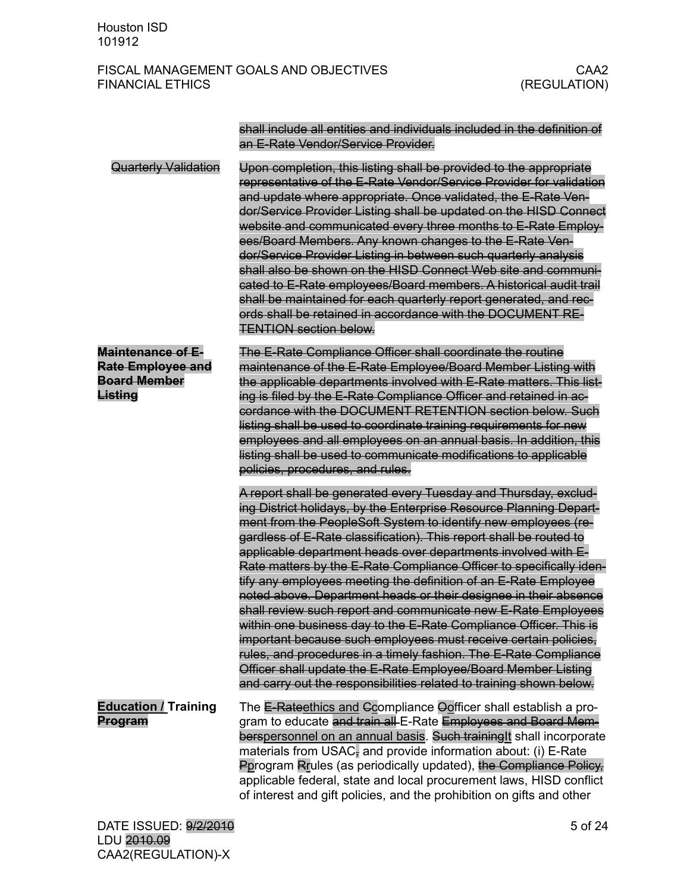|                                                                                 | shall include all entities and individuals included in the definition of<br>an E-Rate Vendor/Service Provider.                                                                                                                                                                                                                                                                                                                                                                                                                                                                                                                                                                                                                                                                                                                                                                                                                                                                    |
|---------------------------------------------------------------------------------|-----------------------------------------------------------------------------------------------------------------------------------------------------------------------------------------------------------------------------------------------------------------------------------------------------------------------------------------------------------------------------------------------------------------------------------------------------------------------------------------------------------------------------------------------------------------------------------------------------------------------------------------------------------------------------------------------------------------------------------------------------------------------------------------------------------------------------------------------------------------------------------------------------------------------------------------------------------------------------------|
| <b>Quarterly Validation</b>                                                     | Upon completion, this listing shall be provided to the appropriate<br>representative of the E-Rate Vendor/Service Provider for validation<br>and update where appropriate. Once validated, the E-Rate Ven-<br>dor/Service Provider Listing shall be updated on the HISD Connect<br>website and communicated every three months to E-Rate Employ-<br>ees/Board Members. Any known changes to the E-Rate Ven-<br>dor/Service Provider Listing in between such quarterly analysis<br>shall also be shown on the HISD Connect Web site and communi-<br>cated to E-Rate employees/Board members. A historical audit trail<br>shall be maintained for each quarterly report generated, and rec-<br>ords shall be retained in accordance with the DOCUMENT RE-<br><b>TENTION section below.</b>                                                                                                                                                                                          |
| <b>Maintenance of E-</b><br>Rate Employee and<br><b>Board Member</b><br>Listing | The E-Rate Compliance Officer shall coordinate the routine<br>maintenance of the E-Rate Employee/Board Member Listing with<br>the applicable departments involved with E-Rate matters. This list-<br>ing is filed by the E-Rate Compliance Officer and retained in ac-<br>cordance with the DOCUMENT RETENTION section below. Such<br>listing shall be used to coordinate training requirements for new<br>employees and all employees on an annual basis. In addition, this<br>listing shall be used to communicate modifications to applicable<br>policies, procedures, and rules.                                                                                                                                                                                                                                                                                                                                                                                              |
|                                                                                 | A report shall be generated every Tuesday and Thursday, exclud-<br>ing District holidays, by the Enterprise Resource Planning Depart-<br>ment from the PeopleSoft System to identify new employees (re-<br>gardless of E-Rate classification). This report shall be routed to<br>applicable department heads over departments involved with E-<br>Rate matters by the E-Rate Compliance Officer to specifically iden-<br>tify any employees meeting the definition of an E-Rate Employee<br>noted above. Department heads or their designee in their absence<br>shall review such report and communicate new E-Rate Employees<br>within one business day to the E-Rate Compliance Officer. This is<br>important because such employees must receive certain policies,<br>rules, and procedures in a timely fashion. The E-Rate Compliance<br>Officer shall update the E-Rate Employee/Board Member Listing<br>and carry out the responsibilities related to training shown below. |
| <b>Education / Training</b><br>Program                                          | The E-Rateethics and Ccompliance Oofficer shall establish a pro-<br>gram to educate and train all E-Rate Employees and Board Mem-<br>berspersonnel on an annual basis. Such training It shall incorporate<br>materials from USAC, and provide information about: (i) E-Rate<br>Porogram Rrules (as periodically updated), the Compliance Policy,<br>applicable federal, state and local procurement laws, HISD conflict<br>of interest and gift policies, and the prohibition on gifts and other                                                                                                                                                                                                                                                                                                                                                                                                                                                                                  |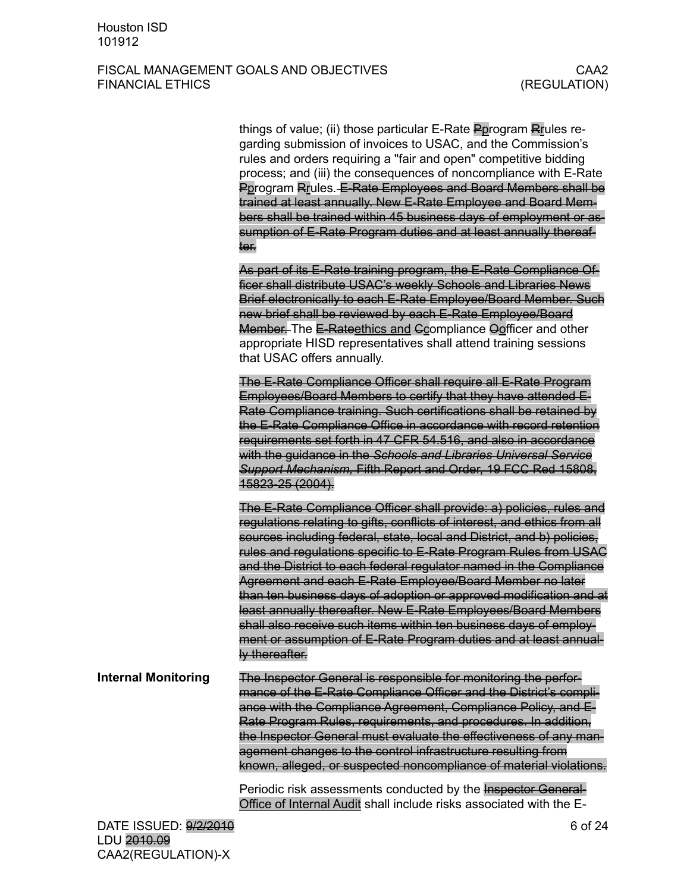|                            | things of value; (ii) those particular E-Rate Pprogram Rrules re-<br>garding submission of invoices to USAC, and the Commission's<br>rules and orders requiring a "fair and open" competitive bidding<br>process; and (iii) the consequences of noncompliance with E-Rate<br>Pprogram Rrules. E-Rate Employees and Board Members shall be<br>trained at least annually. New E-Rate Employee and Board Mem-<br>bers shall be trained within 45 business days of employment or as-<br>sumption of E-Rate Program duties and at least annually thereaf-<br>ter.                                                                                                                                                                       |
|----------------------------|------------------------------------------------------------------------------------------------------------------------------------------------------------------------------------------------------------------------------------------------------------------------------------------------------------------------------------------------------------------------------------------------------------------------------------------------------------------------------------------------------------------------------------------------------------------------------------------------------------------------------------------------------------------------------------------------------------------------------------|
|                            | As part of its E-Rate training program, the E-Rate Compliance Of-<br>ficer shall distribute USAC's weekly Schools and Libraries News<br>Brief electronically to each E-Rate Employee/Board Member. Such<br>new brief shall be reviewed by each E-Rate Employee/Board<br>Member. The E-Rateethics and Ccompliance Oofficer and other<br>appropriate HISD representatives shall attend training sessions<br>that USAC offers annually.                                                                                                                                                                                                                                                                                               |
|                            | The E-Rate Compliance Officer shall require all E-Rate Program<br>Employees/Board Members to certify that they have attended E-<br>Rate Compliance training. Such certifications shall be retained by<br>the E-Rate Compliance Office in accordance with record retention<br>requirements set forth in 47 CFR 54.516, and also in accordance<br>with the guidance in the Schools and Libraries Universal Service<br>Support Mechanism, Fifth Report and Order, 19 FCC Red 15808,<br>15823-25 (2004).                                                                                                                                                                                                                               |
|                            | The E-Rate Compliance Officer shall provide: a) policies, rules and<br>regulations relating to gifts, conflicts of interest, and ethics from all<br>sources including federal, state, local and District, and b) policies,<br>rules and regulations specific to E-Rate Program Rules from USAC<br>and the District to each federal regulator named in the Compliance<br>Agreement and each E-Rate Employee/Board Member no later<br>than ten business days of adoption or approved modification and at<br>least annually thereafter. New E-Rate Employees/Board Members<br>shall also receive such items within ten business days of employ-<br>ment or assumption of E-Rate Program duties and at least annual-<br>ly thereafter. |
| <b>Internal Monitoring</b> | The Inspector General is responsible for monitoring the perfor-<br>mance of the E-Rate Compliance Officer and the District's compli-<br>ance with the Compliance Agreement, Compliance Policy, and E-<br>Rate Program Rules, requirements, and procedures. In addition,<br>the Inspector General must evaluate the effectiveness of any man-<br>agement changes to the control infrastructure resulting from<br>known, alleged, or suspected noncompliance of material violations.                                                                                                                                                                                                                                                 |
|                            | Periodic risk assessments conducted by the <b>Inspector General-</b><br>Office of Internal Audit shall include risks associated with the E-                                                                                                                                                                                                                                                                                                                                                                                                                                                                                                                                                                                        |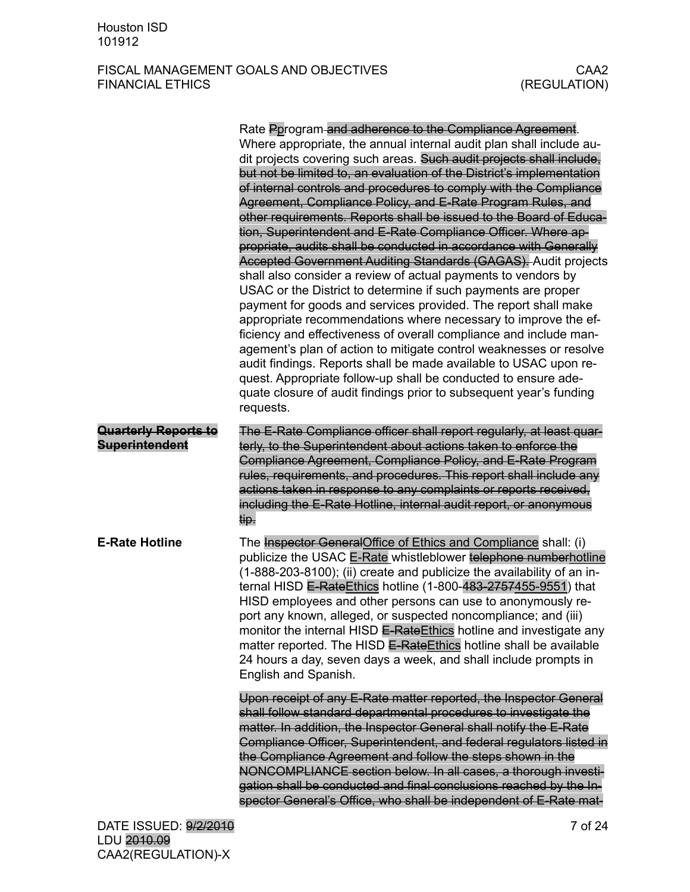|                                                      | Rate Pprogram and adherence to the Compliance Agreement.<br>Where appropriate, the annual internal audit plan shall include au-<br>dit projects covering such areas. Such audit projects shall include,<br>but not be limited to, an evaluation of the District's implementation<br>of internal controls and procedures to comply with the Compliance<br>Agreement, Compliance Policy, and E-Rate Program Rules, and<br>other requirements. Reports shall be issued to the Board of Educa-<br>tion, Superintendent and E-Rate Compliance Officer. Where ap-<br>propriate, audits shall be conducted in accordance with Generally<br>Accepted Government Auditing Standards (GAGAS). Audit projects<br>shall also consider a review of actual payments to vendors by<br>USAC or the District to determine if such payments are proper<br>payment for goods and services provided. The report shall make<br>appropriate recommendations where necessary to improve the ef-<br>ficiency and effectiveness of overall compliance and include man-<br>agement's plan of action to mitigate control weaknesses or resolve<br>audit findings. Reports shall be made available to USAC upon re-<br>quest. Appropriate follow-up shall be conducted to ensure ade-<br>quate closure of audit findings prior to subsequent year's funding<br>requests. |
|------------------------------------------------------|----------------------------------------------------------------------------------------------------------------------------------------------------------------------------------------------------------------------------------------------------------------------------------------------------------------------------------------------------------------------------------------------------------------------------------------------------------------------------------------------------------------------------------------------------------------------------------------------------------------------------------------------------------------------------------------------------------------------------------------------------------------------------------------------------------------------------------------------------------------------------------------------------------------------------------------------------------------------------------------------------------------------------------------------------------------------------------------------------------------------------------------------------------------------------------------------------------------------------------------------------------------------------------------------------------------------------------------------|
| <b>Quarterly Reports to</b><br><b>Superintendent</b> | The E-Rate Compliance officer shall report regularly, at least quar-<br>terly, to the Superintendent about actions taken to enforce the<br>Compliance Agreement, Compliance Policy, and E-Rate Program<br>rules, requirements, and procedures. This report shall include any<br>actions taken in response to any complaints or reports received,<br>including the E-Rate Hotline, internal audit report, or anonymous<br>tip.                                                                                                                                                                                                                                                                                                                                                                                                                                                                                                                                                                                                                                                                                                                                                                                                                                                                                                                |
| <b>E-Rate Hotline</b>                                | The Inspector GeneralOffice of Ethics and Compliance shall: (i)<br>publicize the USAC E-Rate whistleblower telephone numberhotline<br>(1-888-203-8100); (ii) create and publicize the availability of an in-<br>ternal HISD E-Rate Ethics hotline (1-800-483-2757455-9551) that<br>HISD employees and other persons can use to anonymously re-<br>port any known, alleged, or suspected noncompliance; and (iii)<br>monitor the internal HISD E-Rate Ethics hotline and investigate any<br>matter reported. The HISD E-RateEthics hotline shall be available<br>24 hours a day, seven days a week, and shall include prompts in<br>English and Spanish.                                                                                                                                                                                                                                                                                                                                                                                                                                                                                                                                                                                                                                                                                      |
|                                                      | Upon receipt of any E-Rate matter reported, the Inspector General<br>shall follow standard departmental procedures to investigate the<br>matter. In addition, the Inspector General shall notify the E-Rate<br>Compliance Officer, Superintendent, and federal regulators listed in<br>the Compliance Agreement and follow the steps shown in the<br>NONCOMPLIANCE section below. In all cases, a thorough investi-<br>gation shall be conducted and final conclusions reached by the In-<br>spector General's Office, who shall be independent of E-Rate mat-                                                                                                                                                                                                                                                                                                                                                                                                                                                                                                                                                                                                                                                                                                                                                                               |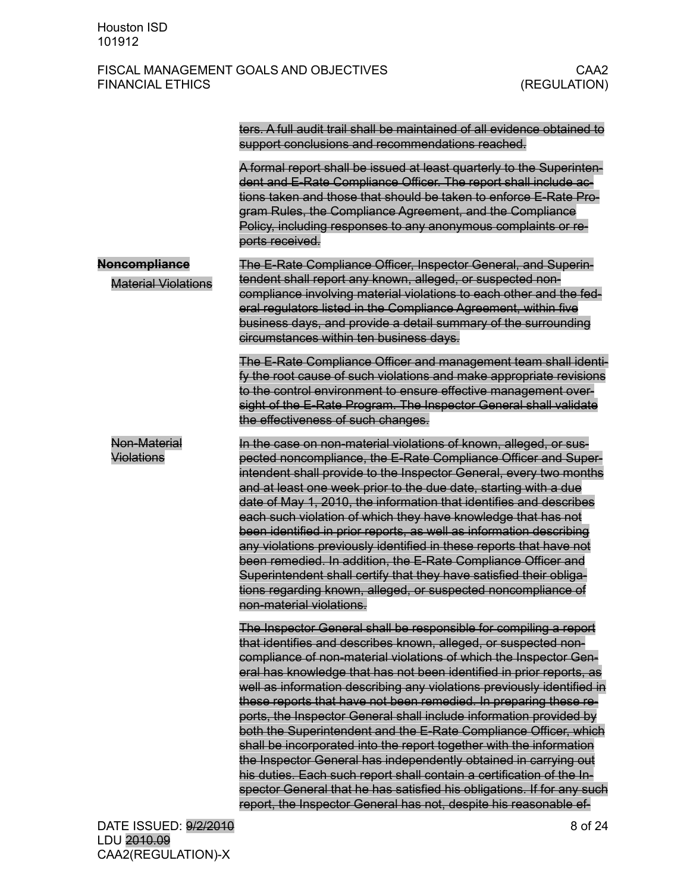|                                             | ters. A full audit trail shall be maintained of all evidence obtained to<br>support conclusions and recommendations reached.                                                                                                                                                                                                                                                                                                                                                                                                                                                                                                                                                                                                                                                                                                                                                                                                                  |
|---------------------------------------------|-----------------------------------------------------------------------------------------------------------------------------------------------------------------------------------------------------------------------------------------------------------------------------------------------------------------------------------------------------------------------------------------------------------------------------------------------------------------------------------------------------------------------------------------------------------------------------------------------------------------------------------------------------------------------------------------------------------------------------------------------------------------------------------------------------------------------------------------------------------------------------------------------------------------------------------------------|
|                                             | A formal report shall be issued at least quarterly to the Superinten-<br>dent and E-Rate Compliance Officer. The report shall include ac-<br>tions taken and those that should be taken to enforce E-Rate Pro-<br>gram Rules, the Compliance Agreement, and the Compliance<br>Policy, including responses to any anonymous complaints or re-<br>ports received.                                                                                                                                                                                                                                                                                                                                                                                                                                                                                                                                                                               |
| Noncompliance<br><b>Material Violations</b> | The E-Rate Compliance Officer, Inspector General, and Superin-<br>tendent shall report any known, alleged, or suspected non-<br>compliance involving material violations to each other and the fed-<br>eral regulators listed in the Compliance Agreement, within five<br>business days, and provide a detail summary of the surrounding<br>circumstances within ten business days.                                                                                                                                                                                                                                                                                                                                                                                                                                                                                                                                                           |
|                                             | The E-Rate Compliance Officer and management team shall identi-<br>fy the root cause of such violations and make appropriate revisions<br>to the control environment to ensure effective management over-<br>sight of the E-Rate Program. The Inspector General shall validate<br>the effectiveness of such changes.                                                                                                                                                                                                                                                                                                                                                                                                                                                                                                                                                                                                                          |
| Non-Material<br>Violations                  | In the case on non-material violations of known, alleged, or sus-<br>pected noncompliance, the E-Rate Compliance Officer and Super-<br>intendent shall provide to the Inspector General, every two months<br>and at least one week prior to the due date, starting with a due<br>date of May 1, 2010, the information that identifies and describes<br>each such violation of which they have knowledge that has not<br>been identified in prior reports, as well as information describing<br>any violations previously identified in these reports that have not<br>been remedied. In addition, the E-Rate Compliance Officer and<br>Superintendent shall certify that they have satisfied their obliga-<br>tions regarding known, alleged, or suspected noncompliance of<br>non-material violations.                                                                                                                                       |
|                                             | The Inspector General shall be responsible for compiling a report<br>that identifies and describes known, alleged, or suspected non-<br>compliance of non-material violations of which the Inspector Gen-<br>eral has knowledge that has not been identified in prior reports, as<br>well as information describing any violations previously identified in<br>these reports that have not been remedied. In preparing these re-<br>ports, the Inspector General shall include information provided by<br>both the Superintendent and the E-Rate Compliance Officer, which<br>shall be incorporated into the report together with the information<br>the Inspector General has independently obtained in carrying out<br>his duties. Each such report shall contain a certification of the In-<br>spector General that he has satisfied his obligations. If for any such<br>report, the Inspector General has not, despite his reasonable ef- |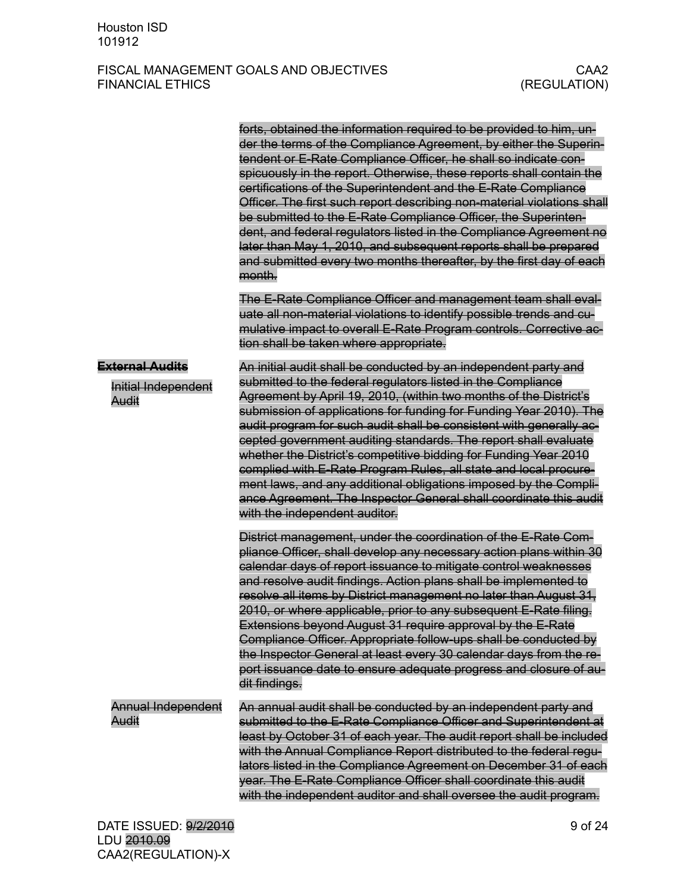|                                                               | forts, obtained the information required to be provided to him, un-<br>der the terms of the Compliance Agreement, by either the Superin-<br>tendent or E-Rate Compliance Officer, he shall so indicate con-<br>spicuously in the report. Otherwise, these reports shall contain the<br>certifications of the Superintendent and the E-Rate Compliance<br>Officer. The first such report describing non-material violations shall<br>be submitted to the E-Rate Compliance Officer, the Superinten-<br>dent, and federal regulators listed in the Compliance Agreement no<br>later than May 1, 2010, and subsequent reports shall be prepared<br>and submitted every two months thereafter, by the first day of each<br>month.          |
|---------------------------------------------------------------|----------------------------------------------------------------------------------------------------------------------------------------------------------------------------------------------------------------------------------------------------------------------------------------------------------------------------------------------------------------------------------------------------------------------------------------------------------------------------------------------------------------------------------------------------------------------------------------------------------------------------------------------------------------------------------------------------------------------------------------|
|                                                               | The E-Rate Compliance Officer and management team shall eval-<br>uate all non-material violations to identify possible trends and cu-<br>mulative impact to overall E-Rate Program controls. Corrective ac-<br>tion shall be taken where appropriate.                                                                                                                                                                                                                                                                                                                                                                                                                                                                                  |
| <b>External Audits</b><br><b>Initial Independent</b><br>Audit | An initial audit shall be conducted by an independent party and<br>submitted to the federal regulators listed in the Compliance<br>Agreement by April 19, 2010, (within two months of the District's<br>submission of applications for funding for Funding Year 2010). The<br>audit program for such audit shall be consistent with generally ac-<br>cepted government auditing standards. The report shall evaluate<br>whether the District's competitive bidding for Funding Year 2010<br>complied with E-Rate Program Rules, all state and local procure-<br>ment laws, and any additional obligations imposed by the Compli-<br>ance Agreement. The Inspector General shall coordinate this audit<br>with the independent auditor. |
|                                                               | District management, under the coordination of the E-Rate Com-<br>pliance Officer, shall develop any necessary action plans within 30<br>calendar days of report issuance to mitigate control weaknesses<br>and resolve audit findings. Action plans shall be implemented to<br>resolve all items by District management no later than August 31,<br>2010, or where applicable, prior to any subsequent E-Rate filing.<br>Extensions beyond August 31 require approval by the E-Rate<br>Compliance Officer. Appropriate follow-ups shall be conducted by<br>the Inspector General at least every 30 calendar days from the re-<br>port issuance date to ensure adequate progress and closure of au-<br>dit findings.                   |
| <b>Annual Independent</b><br>Audit                            | An annual audit shall be conducted by an independent party and<br>submitted to the E-Rate Compliance Officer and Superintendent at<br>least by October 31 of each year. The audit report shall be included<br>with the Annual Compliance Report distributed to the federal regu-<br>lators listed in the Compliance Agreement on December 31 of each<br>year. The E-Rate Compliance Officer shall coordinate this audit<br>with the independent auditor and shall oversee the audit program.                                                                                                                                                                                                                                           |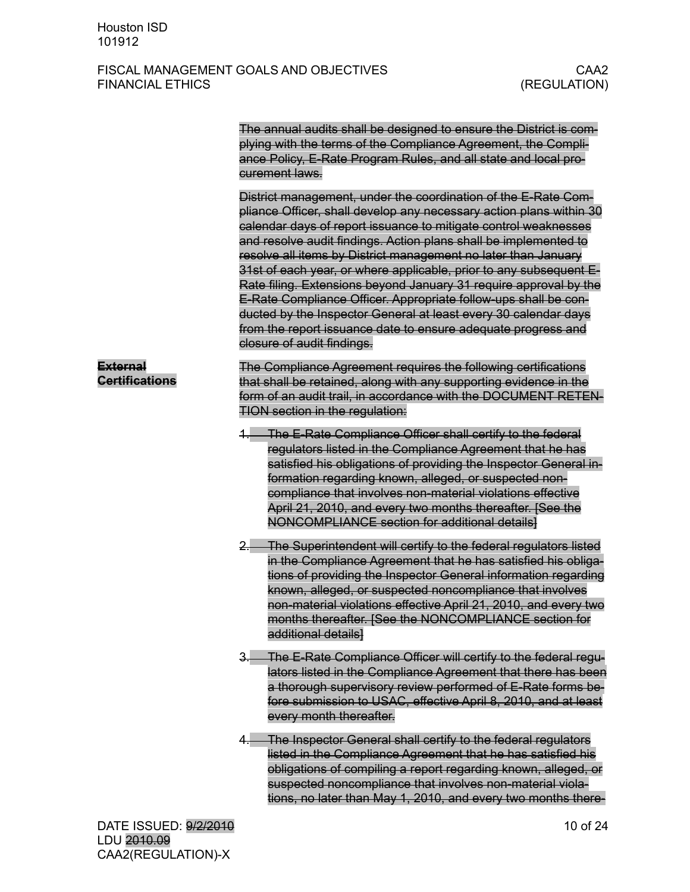|                                          | The annual audits shall be designed to ensure the District is com-<br>plying with the terms of the Compliance Agreement, the Compli-<br>ance Policy, E-Rate Program Rules, and all state and local pro-<br>curement laws.<br>District management, under the coordination of the E-Rate Com-<br>pliance Officer, shall develop any necessary action plans within 30<br>calendar days of report issuance to mitigate control weaknesses<br>and resolve audit findings. Action plans shall be implemented to<br>resolve all items by District management no later than January<br>31st of each year, or where applicable, prior to any subsequent E-<br>Rate filing. Extensions beyond January 31 require approval by the<br>E-Rate Compliance Officer. Appropriate follow-ups shall be con-<br>ducted by the Inspector General at least every 30 calendar days<br>from the report issuance date to ensure adequate progress and<br>closure of audit findings. |
|------------------------------------------|-------------------------------------------------------------------------------------------------------------------------------------------------------------------------------------------------------------------------------------------------------------------------------------------------------------------------------------------------------------------------------------------------------------------------------------------------------------------------------------------------------------------------------------------------------------------------------------------------------------------------------------------------------------------------------------------------------------------------------------------------------------------------------------------------------------------------------------------------------------------------------------------------------------------------------------------------------------|
| <b>External</b><br><b>Certifications</b> | The Compliance Agreement requires the following certifications<br>that shall be retained, along with any supporting evidence in the<br>form of an audit trail, in accordance with the DOCUMENT RETEN-<br><b>TION section in the regulation:</b>                                                                                                                                                                                                                                                                                                                                                                                                                                                                                                                                                                                                                                                                                                             |
|                                          | 1. The E-Rate Compliance Officer shall certify to the federal<br>regulators listed in the Compliance Agreement that he has<br>satisfied his obligations of providing the Inspector General in-<br>formation regarding known, alleged, or suspected non-<br>compliance that involves non-material violations effective<br>April 21, 2010, and every two months thereafter. [See the<br>NONCOMPLIANCE section for additional details]                                                                                                                                                                                                                                                                                                                                                                                                                                                                                                                         |
|                                          | 2. The Superintendent will certify to the federal regulators listed<br>in the Compliance Agreement that he has satisfied his obliga-<br>tions of providing the Inspector General information regarding<br>known, alleged, or suspected noncompliance that involves<br>non-material violations effective April 21, 2010, and every two<br>months thereafter. [See the NONCOMPLIANCE section for<br>additional details]                                                                                                                                                                                                                                                                                                                                                                                                                                                                                                                                       |
|                                          | 3. The E-Rate Compliance Officer will certify to the federal regu-<br>lators listed in the Compliance Agreement that there has been<br>a thorough supervisory review performed of E-Rate forms be-<br>fore submission to USAC, effective April 8, 2010, and at least<br>every month thereafter.                                                                                                                                                                                                                                                                                                                                                                                                                                                                                                                                                                                                                                                             |
|                                          | 4. The Inspector General shall certify to the federal regulators<br>listed in the Compliance Agreement that he has satisfied his<br>obligations of compiling a report regarding known, alleged, or<br>suspected noncompliance that involves non-material viola-<br>tions, no later than May 1, 2010, and every two months there-                                                                                                                                                                                                                                                                                                                                                                                                                                                                                                                                                                                                                            |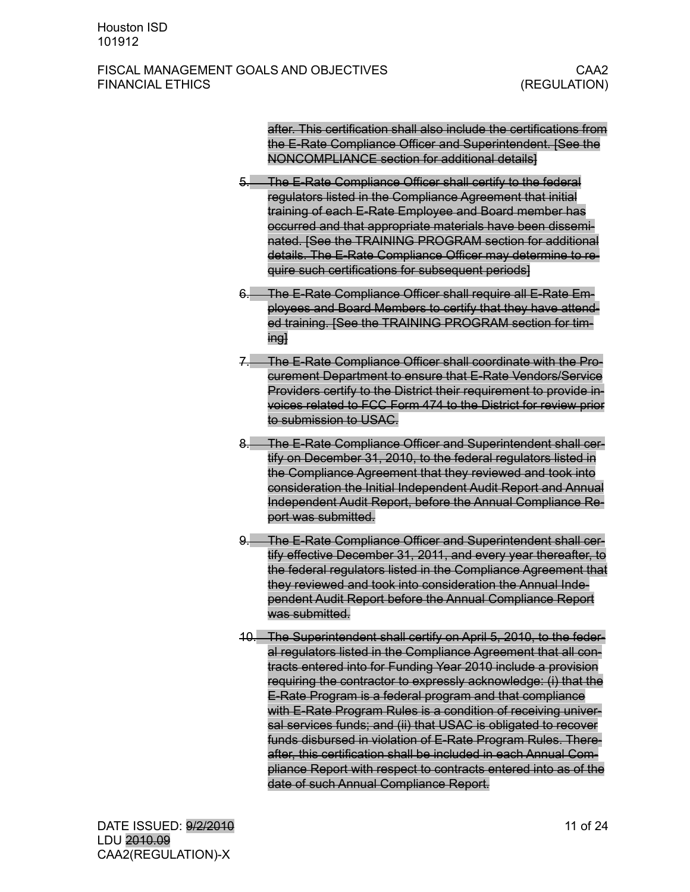after. This certification shall also include the certifications from the E-Rate Compliance Officer and Superintendent. [See the NONCOMPLIANCE section for additional details]

- 5. The E-Rate Compliance Officer shall certify to the federal regulators listed in the Compliance Agreement that initial training of each E-Rate Employee and Board member has occurred and that appropriate materials have been disseminated. [See the TRAINING PROGRAM section for additional details. The E-Rate Compliance Officer may determine to require such certifications for subsequent periods]
- 6. The E-Rate Compliance Officer shall require all E-Rate Employees and Board Members to certify that they have attended training. [See the TRAINING PROGRAM section for timing]
- 7. The E-Rate Compliance Officer shall coordinate with the Procurement Department to ensure that E-Rate Vendors/Service Providers certify to the District their requirement to provide invoices related to FCC Form 474 to the District for review prior to submission to USAC.
- 8. The E-Rate Compliance Officer and Superintendent shall certify on December 31, 2010, to the federal regulators listed in the Compliance Agreement that they reviewed and took into consideration the Initial Independent Audit Report and Annual Independent Audit Report, before the Annual Compliance Report was submitted.
- 9. The E-Rate Compliance Officer and Superintendent shall certify effective December 31, 2011, and every year thereafter, to the federal regulators listed in the Compliance Agreement that they reviewed and took into consideration the Annual Independent Audit Report before the Annual Compliance Report was submitted.
- 10. The Superintendent shall certify on April 5, 2010, to the federal regulators listed in the Compliance Agreement that all contracts entered into for Funding Year 2010 include a provision requiring the contractor to expressly acknowledge: (i) that the E-Rate Program is a federal program and that compliance with E-Rate Program Rules is a condition of receiving universal services funds; and (ii) that USAC is obligated to recover funds disbursed in violation of E-Rate Program Rules. Thereafter, this certification shall be included in each Annual Compliance Report with respect to contracts entered into as of the date of such Annual Compliance Report.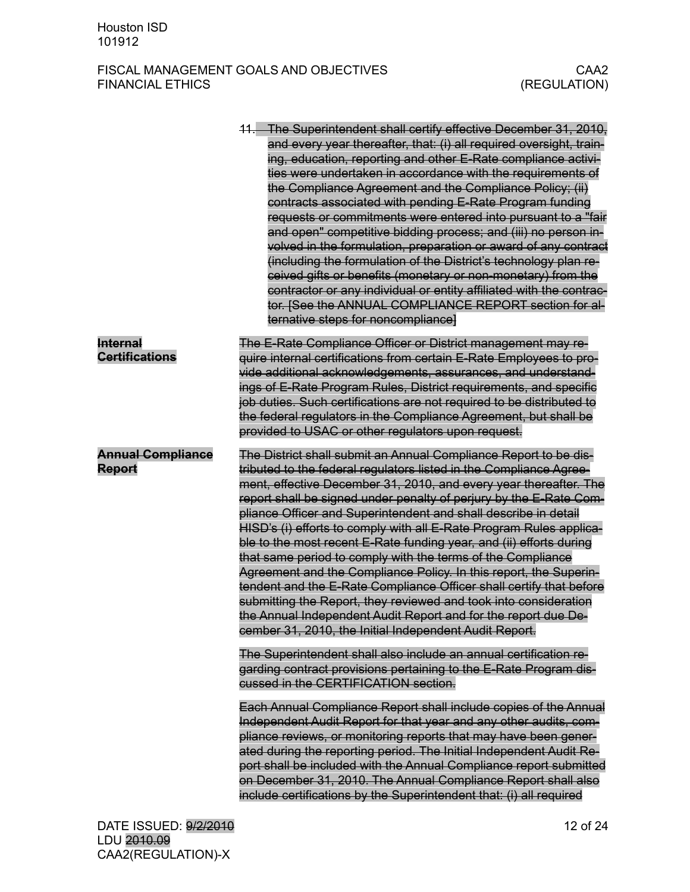|                                           | 11. The Superintendent shall certify effective December 31, 2010,<br>and every year thereafter, that: (i) all required oversight, train-<br>ing, education, reporting and other E-Rate compliance activi-<br>ties were undertaken in accordance with the requirements of<br>the Compliance Agreement and the Compliance Policy; (ii)<br>contracts associated with pending E-Rate Program funding<br>requests or commitments were entered into pursuant to a "fair<br>and open" competitive bidding process; and (iii) no person in-<br>volved in the formulation, preparation or award of any contract<br>(including the formulation of the District's technology plan re-<br>ceived gifts or benefits (monetary or non-monetary) from the<br>contractor or any individual or entity affiliated with the contrac-<br>tor. [See the ANNUAL COMPLIANCE REPORT section for al-<br>ternative steps for noncompliance]                                                                  |
|-------------------------------------------|------------------------------------------------------------------------------------------------------------------------------------------------------------------------------------------------------------------------------------------------------------------------------------------------------------------------------------------------------------------------------------------------------------------------------------------------------------------------------------------------------------------------------------------------------------------------------------------------------------------------------------------------------------------------------------------------------------------------------------------------------------------------------------------------------------------------------------------------------------------------------------------------------------------------------------------------------------------------------------|
| <b>Internal</b><br><b>Certifications</b>  | The E-Rate Compliance Officer or District management may re-<br>quire internal certifications from certain E-Rate Employees to pro-<br>vide additional acknowledgements, assurances, and understand-<br>ings of E-Rate Program Rules, District requirements, and specific<br>job duties. Such certifications are not required to be distributed to<br>the federal regulators in the Compliance Agreement, but shall be<br>provided to USAC or other regulators upon request.                                                                                                                                                                                                                                                                                                                                                                                                                                                                                                       |
| <b>Annual Compliance</b><br><b>Report</b> | The District shall submit an Annual Compliance Report to be dis-<br>tributed to the federal regulators listed in the Compliance Agree-<br>ment, effective December 31, 2010, and every year thereafter. The<br>report shall be signed under penalty of perjury by the E-Rate Com-<br>pliance Officer and Superintendent and shall describe in detail<br>HISD's (i) efforts to comply with all E-Rate Program Rules applica-<br>ble to the most recent E-Rate funding year, and (ii) efforts during<br>that same period to comply with the terms of the Compliance<br>Agreement and the Compliance Policy. In this report, the Superin-<br>tendent and the E-Rate Compliance Officer shall certify that before<br>submitting the Report, they reviewed and took into consideration<br>the Annual Independent Audit Report and for the report due De-<br>cember 31, 2010, the Initial Independent Audit Report.<br>The Superintendent shall also include an annual certification re- |
|                                           | garding contract provisions pertaining to the E-Rate Program dis-<br>cussed in the CERTIFICATION section.                                                                                                                                                                                                                                                                                                                                                                                                                                                                                                                                                                                                                                                                                                                                                                                                                                                                          |
|                                           | Each Annual Compliance Report shall include copies of the Annual<br>Independent Audit Report for that year and any other audits, com-<br>pliance reviews, or monitoring reports that may have been gener-<br>ated during the reporting period. The Initial Independent Audit Re-<br>port shall be included with the Annual Compliance report submitted<br>on December 31, 2010. The Annual Compliance Report shall also<br>include certifications by the Superintendent that: (i) all required                                                                                                                                                                                                                                                                                                                                                                                                                                                                                     |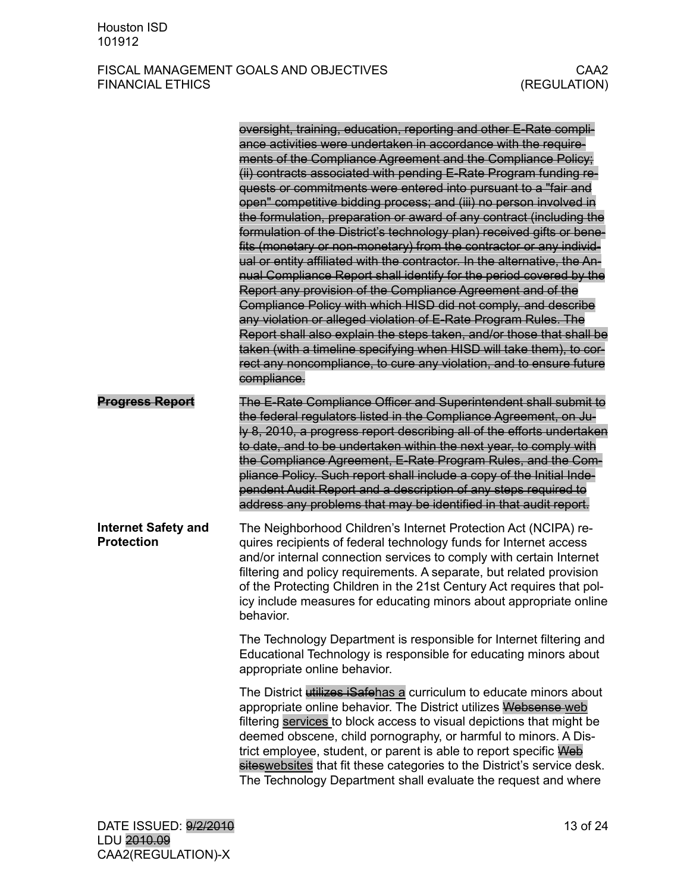|                                                 | oversight, training, education, reporting and other E-Rate compli-<br>ance activities were undertaken in accordance with the require-<br>ments of the Compliance Agreement and the Compliance Policy;<br>(ii) contracts associated with pending E-Rate Program funding re-<br>quests or commitments were entered into pursuant to a "fair and<br>open" competitive bidding process; and (iii) no person involved in<br>the formulation, preparation or award of any contract (including the<br>formulation of the District's technology plan) received gifts or bene-<br>fits (monetary or non-monetary) from the contractor or any individ-<br>ual or entity affiliated with the contractor. In the alternative, the An-<br>nual Compliance Report shall identify for the period covered by the<br>Report any provision of the Compliance Agreement and of the<br>Compliance Policy with which HISD did not comply, and describe<br>any violation or alleged violation of E-Rate Program Rules. The<br>Report shall also explain the steps taken, and/or those that shall be<br>taken (with a timeline specifying when HISD will take them), to cor-<br>rect any noncompliance, to cure any violation, and to ensure future<br>compliance. |
|-------------------------------------------------|---------------------------------------------------------------------------------------------------------------------------------------------------------------------------------------------------------------------------------------------------------------------------------------------------------------------------------------------------------------------------------------------------------------------------------------------------------------------------------------------------------------------------------------------------------------------------------------------------------------------------------------------------------------------------------------------------------------------------------------------------------------------------------------------------------------------------------------------------------------------------------------------------------------------------------------------------------------------------------------------------------------------------------------------------------------------------------------------------------------------------------------------------------------------------------------------------------------------------------------------|
| <b>Progress Report</b>                          | The E-Rate Compliance Officer and Superintendent shall submit to<br>the federal regulators listed in the Compliance Agreement, on Ju-<br>ly 8, 2010, a progress report describing all of the efforts undertaken<br>to date, and to be undertaken within the next year, to comply with<br>the Compliance Agreement, E-Rate Program Rules, and the Com-<br>pliance Policy. Such report shall include a copy of the Initial Inde-<br>pendent Audit Report and a description of any steps required to<br>address any problems that may be identified in that audit report.                                                                                                                                                                                                                                                                                                                                                                                                                                                                                                                                                                                                                                                                      |
| <b>Internet Safety and</b><br><b>Protection</b> | The Neighborhood Children's Internet Protection Act (NCIPA) re-<br>quires recipients of federal technology funds for Internet access<br>and/or internal connection services to comply with certain Internet<br>filtering and policy requirements. A separate, but related provision<br>of the Protecting Children in the 21st Century Act requires that pol-<br>icy include measures for educating minors about appropriate online<br>behavior.                                                                                                                                                                                                                                                                                                                                                                                                                                                                                                                                                                                                                                                                                                                                                                                             |
|                                                 | The Technology Department is responsible for Internet filtering and<br>Educational Technology is responsible for educating minors about<br>appropriate online behavior.                                                                                                                                                                                                                                                                                                                                                                                                                                                                                                                                                                                                                                                                                                                                                                                                                                                                                                                                                                                                                                                                     |
|                                                 | The District utilizes iSafehas a curriculum to educate minors about<br>appropriate online behavior. The District utilizes Websense web<br>filtering services to block access to visual depictions that might be<br>deemed obscene, child pornography, or harmful to minors. A Dis-<br>trict employee, student, or parent is able to report specific Web<br>sites websites that fit these categories to the District's service desk.<br>The Technology Department shall evaluate the request and where                                                                                                                                                                                                                                                                                                                                                                                                                                                                                                                                                                                                                                                                                                                                       |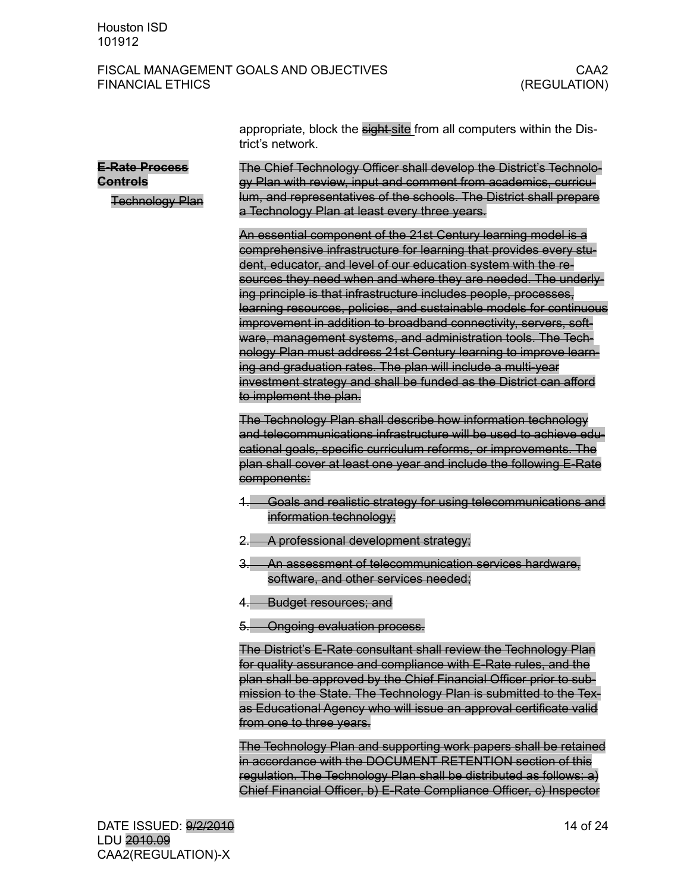|                                                             | appropriate, block the sight-site from all computers within the Dis-<br>trict's network.                                                                                                                                                                                                                                                                                                                                                                                                                                                                                                                                                                                                                                                                                                      |
|-------------------------------------------------------------|-----------------------------------------------------------------------------------------------------------------------------------------------------------------------------------------------------------------------------------------------------------------------------------------------------------------------------------------------------------------------------------------------------------------------------------------------------------------------------------------------------------------------------------------------------------------------------------------------------------------------------------------------------------------------------------------------------------------------------------------------------------------------------------------------|
| <b>E-Rate Process</b><br>Controls<br><b>Technology Plan</b> | The Chief Technology Officer shall develop the District's Technolo-<br>gy Plan with review, input and comment from academics, curricu-<br>lum, and representatives of the schools. The District shall prepare<br>a Technology Plan at least every three years.                                                                                                                                                                                                                                                                                                                                                                                                                                                                                                                                |
|                                                             | An essential component of the 21st Century learning model is a<br>comprehensive infrastructure for learning that provides every stu-<br>dent, educator, and level of our education system with the re-<br>sources they need when and where they are needed. The underly-<br>ing principle is that infrastructure includes people, processes,<br>learning resources, policies, and sustainable models for continuous<br>improvement in addition to broadband connectivity, servers, soft-<br>ware, management systems, and administration tools. The Tech-<br>nology Plan must address 21st Century learning to improve learn-<br>ing and graduation rates. The plan will include a multi-year<br>investment strategy and shall be funded as the District can afford<br>to implement the plan. |
|                                                             | The Technology Plan shall describe how information technology<br>and telecommunications infrastructure will be used to achieve edu-<br>cational goals, specific curriculum reforms, or improvements. The<br>plan shall cover at least one year and include the following E-Rate<br>components:                                                                                                                                                                                                                                                                                                                                                                                                                                                                                                |
|                                                             | Goals and realistic strategy for using telecommunications and<br>information technology;                                                                                                                                                                                                                                                                                                                                                                                                                                                                                                                                                                                                                                                                                                      |
|                                                             | A professional development strategy;                                                                                                                                                                                                                                                                                                                                                                                                                                                                                                                                                                                                                                                                                                                                                          |
|                                                             | An assessment of telecommunication services hardware,<br>software, and other services needed;                                                                                                                                                                                                                                                                                                                                                                                                                                                                                                                                                                                                                                                                                                 |
|                                                             | <b>Budget resources; and</b>                                                                                                                                                                                                                                                                                                                                                                                                                                                                                                                                                                                                                                                                                                                                                                  |
|                                                             | 5. Ongoing evaluation process.                                                                                                                                                                                                                                                                                                                                                                                                                                                                                                                                                                                                                                                                                                                                                                |
|                                                             | The District's E-Rate consultant shall review the Technology Plan<br>for quality assurance and compliance with E-Rate rules, and the<br>plan shall be approved by the Chief Financial Officer prior to sub-<br>mission to the State. The Technology Plan is submitted to the Tex-<br>as Educational Agency who will issue an approval certificate valid<br>from one to three years.                                                                                                                                                                                                                                                                                                                                                                                                           |
|                                                             | The Technology Plan and supporting work papers shall be retained<br>in accordance with the DOCUMENT RETENTION section of this<br>regulation. The Technology Plan shall be distributed as follows: a)                                                                                                                                                                                                                                                                                                                                                                                                                                                                                                                                                                                          |

Chief Financial Officer, b) E-Rate Compliance Officer, c) Inspector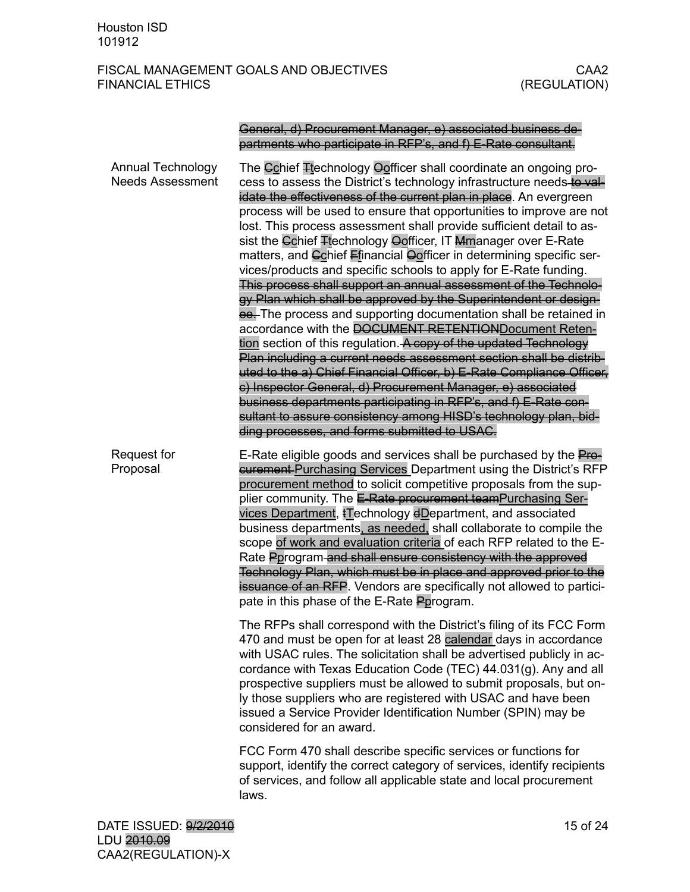### General, d) Procurement Manager, e) associated business departments who participate in RFP's, and f) E-Rate consultant.

| <b>Annual Technology</b><br><b>Needs Assessment</b> | The Cchief Ttechnology Oofficer shall coordinate an ongoing pro-<br>cess to assess the District's technology infrastructure needs to val-<br>idate the effectiveness of the current plan in place. An evergreen<br>process will be used to ensure that opportunities to improve are not<br>lost. This process assessment shall provide sufficient detail to as-<br>sist the Cchief Ttechnology Oofficer, IT Mmanager over E-Rate<br>matters, and Cchief Efinancial Oofficer in determining specific ser-<br>vices/products and specific schools to apply for E-Rate funding.<br>This process shall support an annual assessment of the Technolo-<br>gy Plan which shall be approved by the Superintendent or design-<br>ee. The process and supporting documentation shall be retained in<br>accordance with the DOCUMENT RETENTIONDocument Reten-<br>tion section of this regulation. A copy of the updated Technology<br>Plan including a current needs assessment section shall be distrib-<br>uted to the a) Chief Financial Officer, b) E-Rate Compliance Officer,<br>c) Inspector General, d) Procurement Manager, e) associated<br>business departments participating in RFP's, and f) E-Rate con-<br>sultant to assure consistency among HISD's technology plan, bid-<br>ding processes, and forms submitted to USAC. |
|-----------------------------------------------------|-------------------------------------------------------------------------------------------------------------------------------------------------------------------------------------------------------------------------------------------------------------------------------------------------------------------------------------------------------------------------------------------------------------------------------------------------------------------------------------------------------------------------------------------------------------------------------------------------------------------------------------------------------------------------------------------------------------------------------------------------------------------------------------------------------------------------------------------------------------------------------------------------------------------------------------------------------------------------------------------------------------------------------------------------------------------------------------------------------------------------------------------------------------------------------------------------------------------------------------------------------------------------------------------------------------------------------|
| <b>Request for</b><br>Proposal                      | E-Rate eligible goods and services shall be purchased by the Pro-<br><b>eurement Purchasing Services Department using the District's RFP</b><br>procurement method to solicit competitive proposals from the sup-<br>plier community. The E-Rate procurement teamPurchasing Ser-<br>vices Department, #Technology dDepartment, and associated<br>business departments, as needed, shall collaborate to compile the<br>scope of work and evaluation criteria of each RFP related to the E-<br>Rate Pprogram and shall ensure consistency with the approved<br>Technology Plan, which must be in place and approved prior to the<br>issuance of an RFP. Vendors are specifically not allowed to partici-<br>pate in this phase of the E-Rate Pprogram.                                                                                                                                                                                                                                                                                                                                                                                                                                                                                                                                                                          |
|                                                     | The RFPs shall correspond with the District's filing of its FCC Form<br>470 and must be open for at least 28 calendar days in accordance<br>with USAC rules. The solicitation shall be advertised publicly in ac-<br>cordance with Texas Education Code (TEC) 44.031(g). Any and all<br>prospective suppliers must be allowed to submit proposals, but on-<br>ly those suppliers who are registered with USAC and have been<br>issued a Service Provider Identification Number (SPIN) may be<br>considered for an award.                                                                                                                                                                                                                                                                                                                                                                                                                                                                                                                                                                                                                                                                                                                                                                                                      |
|                                                     | FCC Form 470 shall describe specific services or functions for<br>support, identify the correct category of services, identify recipients<br>of services, and follow all applicable state and local procurement<br>laws.                                                                                                                                                                                                                                                                                                                                                                                                                                                                                                                                                                                                                                                                                                                                                                                                                                                                                                                                                                                                                                                                                                      |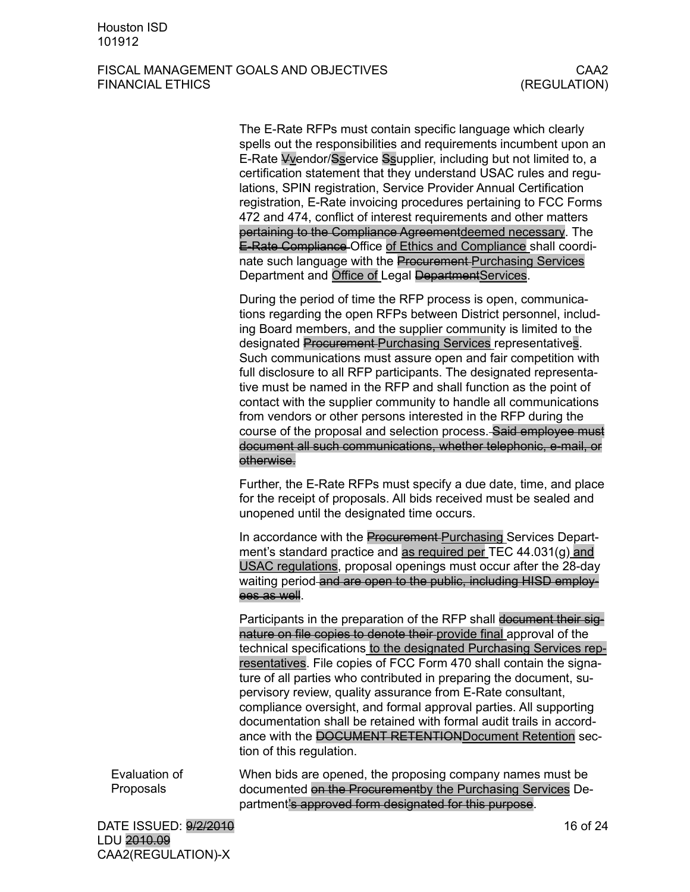The E-Rate RFPs must contain specific language which clearly spells out the responsibilities and requirements incumbent upon an E-Rate Vvendor/Sservice Ssupplier, including but not limited to, a certification statement that they understand USAC rules and regulations, SPIN registration, Service Provider Annual Certification registration, E-Rate invoicing procedures pertaining to FCC Forms 472 and 474, conflict of interest requirements and other matters pertaining to the Compliance Agreementdeemed necessary. The E-Rate Compliance Office of Ethics and Compliance shall coordinate such language with the Procurement Purchasing Services Department and Office of Legal DepartmentServices.

During the period of time the RFP process is open, communications regarding the open RFPs between District personnel, including Board members, and the supplier community is limited to the designated **Procurement** Purchasing Services representatives. Such communications must assure open and fair competition with full disclosure to all RFP participants. The designated representative must be named in the RFP and shall function as the point of contact with the supplier community to handle all communications from vendors or other persons interested in the RFP during the course of the proposal and selection process. Said employee must document all such communications, whether telephonic, e-mail, or otherwise.

Further, the E-Rate RFPs must specify a due date, time, and place for the receipt of proposals. All bids received must be sealed and unopened until the designated time occurs.

In accordance with the Procurement Purchasing Services Department's standard practice and as required per TEC 44.031(g) and USAC regulations, proposal openings must occur after the 28-day waiting period and are open to the public, including HISD employees as well.

Participants in the preparation of the RFP shall document their signature on file copies to denote their provide final approval of the technical specifications to the designated Purchasing Services representatives. File copies of FCC Form 470 shall contain the signature of all parties who contributed in preparing the document, supervisory review, quality assurance from E-Rate consultant, compliance oversight, and formal approval parties. All supporting documentation shall be retained with formal audit trails in accordance with the DOCUMENT RETENTIONDocument Retention section of this regulation.

When bids are opened, the proposing company names must be documented on the Procurementby the Purchasing Services Department's approved form designated for this purpose. Evaluation of Proposals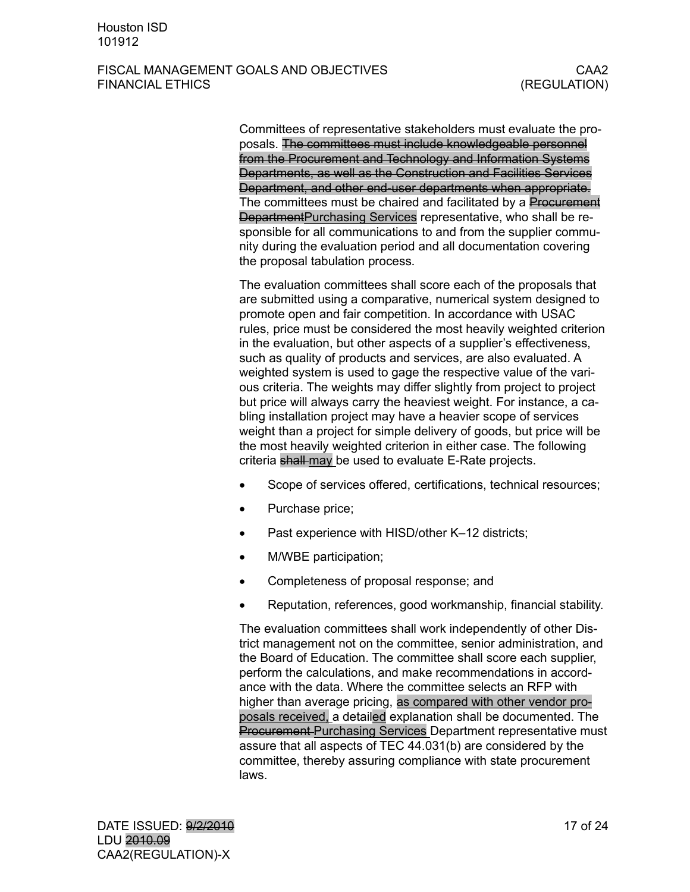Committees of representative stakeholders must evaluate the proposals. The committees must include knowledgeable personnel from the Procurement and Technology and Information Systems Departments, as well as the Construction and Facilities Services Department, and other end-user departments when appropriate. The committees must be chaired and facilitated by a Procurement DepartmentPurchasing Services representative, who shall be responsible for all communications to and from the supplier community during the evaluation period and all documentation covering the proposal tabulation process.

The evaluation committees shall score each of the proposals that are submitted using a comparative, numerical system designed to promote open and fair competition. In accordance with USAC rules, price must be considered the most heavily weighted criterion in the evaluation, but other aspects of a supplier's effectiveness, such as quality of products and services, are also evaluated. A weighted system is used to gage the respective value of the various criteria. The weights may differ slightly from project to project but price will always carry the heaviest weight. For instance, a cabling installation project may have a heavier scope of services weight than a project for simple delivery of goods, but price will be the most heavily weighted criterion in either case. The following criteria shall may be used to evaluate E-Rate projects.

- Scope of services offered, certifications, technical resources;
- Purchase price;
- Past experience with HISD/other K-12 districts;
- M/WBE participation;
- Completeness of proposal response; and
- Reputation, references, good workmanship, financial stability.

The evaluation committees shall work independently of other District management not on the committee, senior administration, and the Board of Education. The committee shall score each supplier, perform the calculations, and make recommendations in accordance with the data. Where the committee selects an RFP with higher than average pricing, as compared with other vendor proposals received, a detailed explanation shall be documented. The Procurement Purchasing Services Department representative must assure that all aspects of TEC 44.031(b) are considered by the committee, thereby assuring compliance with state procurement laws.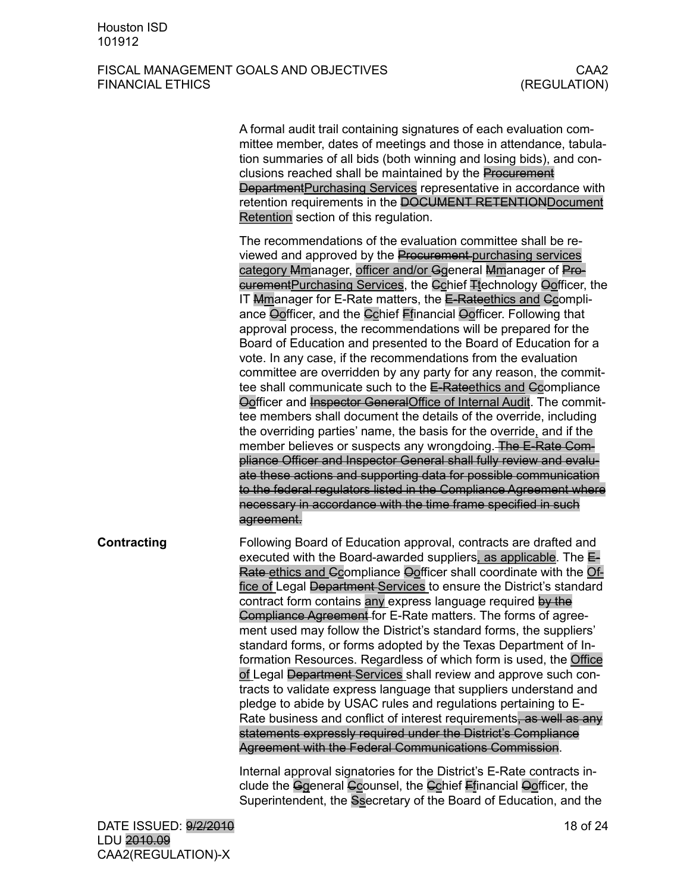|                    | A formal audit trail containing signatures of each evaluation com-<br>mittee member, dates of meetings and those in attendance, tabula-<br>tion summaries of all bids (both winning and losing bids), and con-<br>clusions reached shall be maintained by the Procurement<br>DepartmentPurchasing Services representative in accordance with<br>retention requirements in the DOCUMENT RETENTIONDocument<br>Retention section of this regulation.                                                                                                                                                                                                                                                                                                                                                                                                                                                                                                                                                                                                                                                                                                                                                                                                                                                                                                 |
|--------------------|---------------------------------------------------------------------------------------------------------------------------------------------------------------------------------------------------------------------------------------------------------------------------------------------------------------------------------------------------------------------------------------------------------------------------------------------------------------------------------------------------------------------------------------------------------------------------------------------------------------------------------------------------------------------------------------------------------------------------------------------------------------------------------------------------------------------------------------------------------------------------------------------------------------------------------------------------------------------------------------------------------------------------------------------------------------------------------------------------------------------------------------------------------------------------------------------------------------------------------------------------------------------------------------------------------------------------------------------------|
|                    | The recommendations of the evaluation committee shall be re-<br>viewed and approved by the Procurement-purchasing services<br>category Mmanager, officer and/or Ggeneral Mmanager of Pro-<br>curement Purchasing Services, the Cohief <sub>Hechnology</sub> Oofficer, the<br>IT Mmanager for E-Rate matters, the E-Rateethics and Ccompli-<br>ance Oofficer, and the Cchief Ffinancial Oofficer. Following that<br>approval process, the recommendations will be prepared for the<br>Board of Education and presented to the Board of Education for a<br>vote. In any case, if the recommendations from the evaluation<br>committee are overridden by any party for any reason, the commit-<br>tee shall communicate such to the E-Rateethics and Ccompliance<br>Oofficer and Inspector General Office of Internal Audit. The commit-<br>tee members shall document the details of the override, including<br>the overriding parties' name, the basis for the override, and if the<br>member believes or suspects any wrongdoing. The E-Rate Com-<br>pliance Officer and Inspector General shall fully review and evalu-<br>ate these actions and supporting data for possible communication<br>to the federal regulators listed in the Compliance Agreement where<br>necessary in accordance with the time frame specified in such<br>agreement. |
| <b>Contracting</b> | Following Board of Education approval, contracts are drafted and<br>executed with the Board-awarded suppliers, as applicable. The E-<br>Rate ethics and Ccompliance Oofficer shall coordinate with the Of-<br>fice of Legal Department Services to ensure the District's standard<br>contract form contains any express language required by the<br>Compliance Agreement for E-Rate matters. The forms of agree-<br>ment used may follow the District's standard forms, the suppliers'<br>standard forms, or forms adopted by the Texas Department of In-<br>formation Resources. Regardless of which form is used, the Office<br>of Legal Department Services shall review and approve such con-<br>tracts to validate express language that suppliers understand and<br>pledge to abide by USAC rules and regulations pertaining to E-<br>Rate business and conflict of interest requirements, as well as any<br>statements expressly required under the District's Compliance<br>Agreement with the Federal Communications Commission.                                                                                                                                                                                                                                                                                                         |
|                    | Internal approval signatories for the District's E-Rate contracts in-<br>clude the Ggeneral Ccounsel, the Cchief Ffinancial Oofficer, the<br>Superintendent, the Ssecretary of the Board of Education, and the                                                                                                                                                                                                                                                                                                                                                                                                                                                                                                                                                                                                                                                                                                                                                                                                                                                                                                                                                                                                                                                                                                                                    |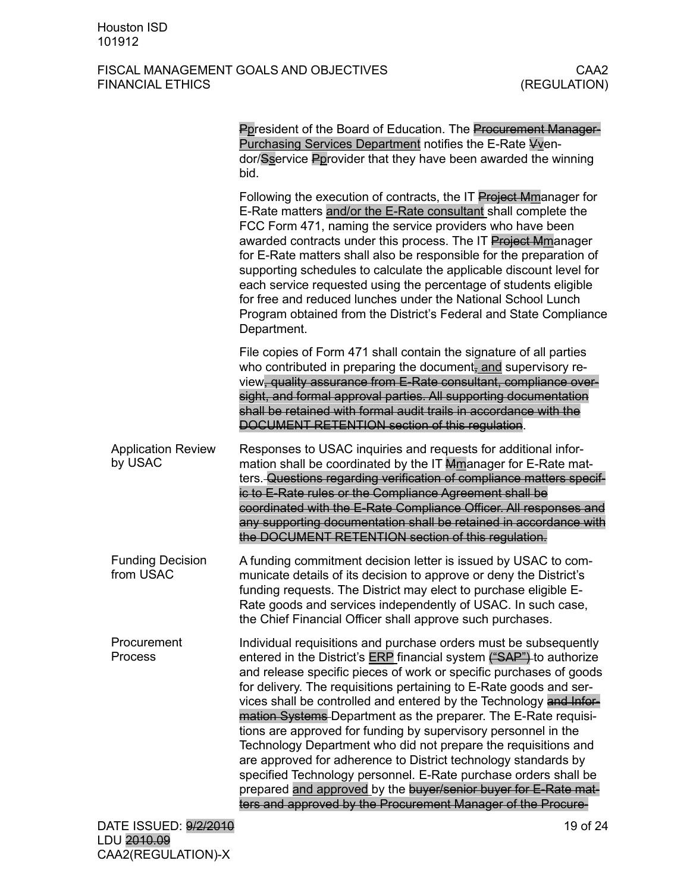|                                      | Ppresident of the Board of Education. The Procurement Manager-<br>Purchasing Services Department notifies the E-Rate Vven-<br>dor/Sservice Pprovider that they have been awarded the winning<br>bid.                                                                                                                                                                                                                                                                                                                                                                                                                                                                                                                                                                                                                                           |
|--------------------------------------|------------------------------------------------------------------------------------------------------------------------------------------------------------------------------------------------------------------------------------------------------------------------------------------------------------------------------------------------------------------------------------------------------------------------------------------------------------------------------------------------------------------------------------------------------------------------------------------------------------------------------------------------------------------------------------------------------------------------------------------------------------------------------------------------------------------------------------------------|
|                                      | Following the execution of contracts, the IT Project Mmanager for<br>E-Rate matters and/or the E-Rate consultant shall complete the<br>FCC Form 471, naming the service providers who have been<br>awarded contracts under this process. The IT Project Mmanager<br>for E-Rate matters shall also be responsible for the preparation of<br>supporting schedules to calculate the applicable discount level for<br>each service requested using the percentage of students eligible<br>for free and reduced lunches under the National School Lunch<br>Program obtained from the District's Federal and State Compliance<br>Department.                                                                                                                                                                                                         |
|                                      | File copies of Form 471 shall contain the signature of all parties<br>who contributed in preparing the document, and supervisory re-<br>view, quality assurance from E-Rate consultant, compliance over-<br>sight, and formal approval parties. All supporting documentation<br>shall be retained with formal audit trails in accordance with the<br>DOCUMENT RETENTION section of this regulation.                                                                                                                                                                                                                                                                                                                                                                                                                                            |
| <b>Application Review</b><br>by USAC | Responses to USAC inquiries and requests for additional infor-<br>mation shall be coordinated by the IT Mmanager for E-Rate mat-<br>ters. Questions regarding verification of compliance matters specif-<br>ic to E-Rate rules or the Compliance Agreement shall be<br>coordinated with the E-Rate Compliance Officer. All responses and<br>any supporting documentation shall be retained in accordance with<br>the DOCUMENT RETENTION section of this regulation.                                                                                                                                                                                                                                                                                                                                                                            |
| <b>Funding Decision</b><br>from USAC | A funding commitment decision letter is issued by USAC to com-<br>municate details of its decision to approve or deny the District's<br>funding requests. The District may elect to purchase eligible E-<br>Rate goods and services independently of USAC. In such case,<br>the Chief Financial Officer shall approve such purchases.                                                                                                                                                                                                                                                                                                                                                                                                                                                                                                          |
| Procurement<br><b>Process</b>        | Individual requisitions and purchase orders must be subsequently<br>entered in the District's <b>ERP</b> financial system ("SAP") to authorize<br>and release specific pieces of work or specific purchases of goods<br>for delivery. The requisitions pertaining to E-Rate goods and ser-<br>vices shall be controlled and entered by the Technology and Infor-<br>mation Systems-Department as the preparer. The E-Rate requisi-<br>tions are approved for funding by supervisory personnel in the<br>Technology Department who did not prepare the requisitions and<br>are approved for adherence to District technology standards by<br>specified Technology personnel. E-Rate purchase orders shall be<br>prepared and approved by the buyer/senior buyer for E-Rate mat-<br>ters and approved by the Procurement Manager of the Procure- |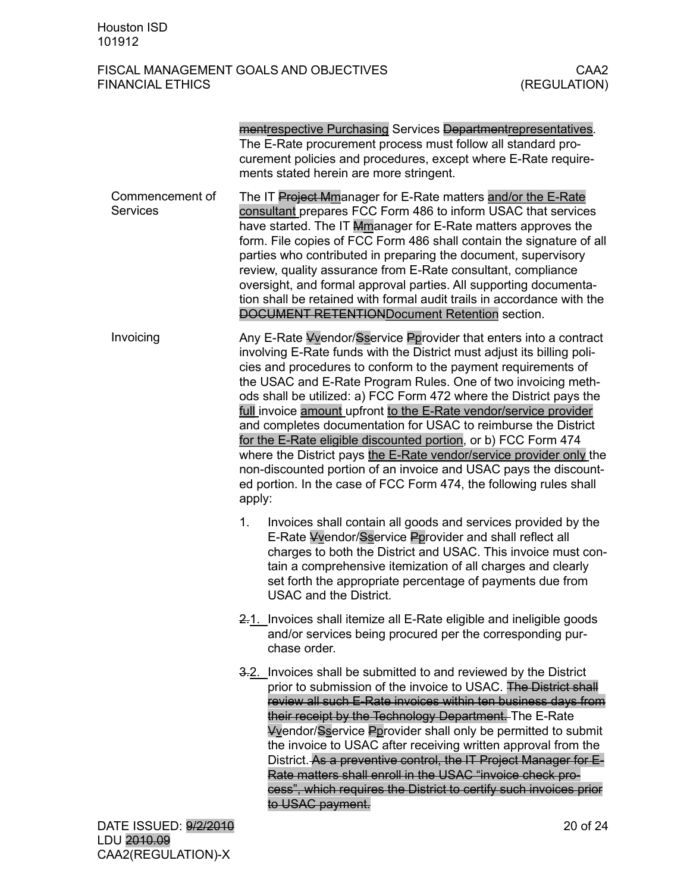|                                    | mentrespective Purchasing Services Departmentrepresentatives.<br>The E-Rate procurement process must follow all standard pro-<br>curement policies and procedures, except where E-Rate require-<br>ments stated herein are more stringent.                                                                                                                                                                                                                                                                                                                                                                                                                                                                                                                                              |
|------------------------------------|-----------------------------------------------------------------------------------------------------------------------------------------------------------------------------------------------------------------------------------------------------------------------------------------------------------------------------------------------------------------------------------------------------------------------------------------------------------------------------------------------------------------------------------------------------------------------------------------------------------------------------------------------------------------------------------------------------------------------------------------------------------------------------------------|
| Commencement of<br><b>Services</b> | The IT Project Mmanager for E-Rate matters and/or the E-Rate<br>consultant prepares FCC Form 486 to inform USAC that services<br>have started. The IT Mmanager for E-Rate matters approves the<br>form. File copies of FCC Form 486 shall contain the signature of all<br>parties who contributed in preparing the document, supervisory<br>review, quality assurance from E-Rate consultant, compliance<br>oversight, and formal approval parties. All supporting documenta-<br>tion shall be retained with formal audit trails in accordance with the<br>DOCUMENT RETENTIONDocument Retention section.                                                                                                                                                                                |
| Invoicing                          | Any E-Rate Vyendor/Sservice Pprovider that enters into a contract<br>involving E-Rate funds with the District must adjust its billing poli-<br>cies and procedures to conform to the payment requirements of<br>the USAC and E-Rate Program Rules. One of two invoicing meth-<br>ods shall be utilized: a) FCC Form 472 where the District pays the<br>full invoice amount upfront to the E-Rate vendor/service provider<br>and completes documentation for USAC to reimburse the District<br>for the E-Rate eligible discounted portion, or b) FCC Form 474<br>where the District pays the E-Rate vendor/service provider only the<br>non-discounted portion of an invoice and USAC pays the discount-<br>ed portion. In the case of FCC Form 474, the following rules shall<br>apply: |
|                                    | Invoices shall contain all goods and services provided by the<br>1.<br>E-Rate Vvendor/Sservice Pprovider and shall reflect all<br>charges to both the District and USAC. This invoice must con-<br>tain a comprehensive itemization of all charges and clearly<br>set forth the appropriate percentage of payments due from<br><b>USAC and the District.</b>                                                                                                                                                                                                                                                                                                                                                                                                                            |
|                                    | 2.1. Invoices shall itemize all E-Rate eligible and ineligible goods<br>and/or services being procured per the corresponding pur-<br>chase order.                                                                                                                                                                                                                                                                                                                                                                                                                                                                                                                                                                                                                                       |
|                                    | 3.2. Invoices shall be submitted to and reviewed by the District<br>prior to submission of the invoice to USAC. The District shall<br>review all such E-Rate invoices within ten business days from<br>their receipt by the Technology Department. The E-Rate<br><b>Vyendor/Sservice Pprovider shall only be permitted to submit</b><br>the invoice to USAC after receiving written approval from the<br>District. As a preventive control, the IT Project Manager for E-<br>Rate matters shall enroll in the USAC "invoice check pro-<br>cess", which requires the District to certify such invoices prior<br>to USAC payment.                                                                                                                                                         |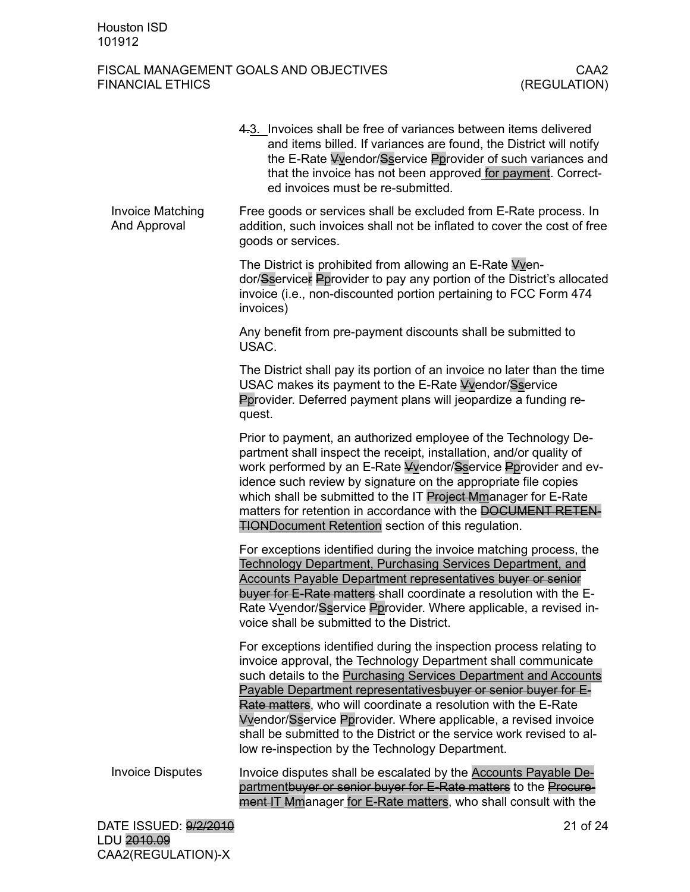|                                                | 4.3. Invoices shall be free of variances between items delivered<br>and items billed. If variances are found, the District will notify<br>the E-Rate Vvendor/Sservice Pprovider of such variances and<br>that the invoice has not been approved for payment. Correct-<br>ed invoices must be re-submitted.                                                                                                                                                                                                                                 |
|------------------------------------------------|--------------------------------------------------------------------------------------------------------------------------------------------------------------------------------------------------------------------------------------------------------------------------------------------------------------------------------------------------------------------------------------------------------------------------------------------------------------------------------------------------------------------------------------------|
| <b>Invoice Matching</b><br><b>And Approval</b> | Free goods or services shall be excluded from E-Rate process. In<br>addition, such invoices shall not be inflated to cover the cost of free<br>goods or services.                                                                                                                                                                                                                                                                                                                                                                          |
|                                                | The District is prohibited from allowing an E-Rate Vyen-<br>dor/Sservicer Pprovider to pay any portion of the District's allocated<br>invoice (i.e., non-discounted portion pertaining to FCC Form 474<br>invoices)                                                                                                                                                                                                                                                                                                                        |
|                                                | Any benefit from pre-payment discounts shall be submitted to<br>USAC.                                                                                                                                                                                                                                                                                                                                                                                                                                                                      |
|                                                | The District shall pay its portion of an invoice no later than the time<br>USAC makes its payment to the E-Rate Vvendor/Sservice<br>Pprovider. Deferred payment plans will jeopardize a funding re-<br>quest.                                                                                                                                                                                                                                                                                                                              |
|                                                | Prior to payment, an authorized employee of the Technology De-<br>partment shall inspect the receipt, installation, and/or quality of<br>work performed by an E-Rate Vyendor/Sservice Pprovider and ev-<br>idence such review by signature on the appropriate file copies<br>which shall be submitted to the IT Project Mmanager for E-Rate<br>matters for retention in accordance with the DOCUMENT RETEN-<br><b>TIONDocument Retention section of this regulation.</b>                                                                   |
|                                                | For exceptions identified during the invoice matching process, the<br>Technology Department, Purchasing Services Department, and<br><b>Accounts Payable Department representatives buyer or senior</b><br>buyer for E-Rate matters shall coordinate a resolution with the E-<br>Rate Vvendor/Sservice Pprovider. Where applicable, a revised in-<br>voice shall be submitted to the District.                                                                                                                                              |
|                                                | For exceptions identified during the inspection process relating to<br>invoice approval, the Technology Department shall communicate<br>such details to the Purchasing Services Department and Accounts<br>Payable Department representatives buyer or senior buyer for E-<br>Rate matters, who will coordinate a resolution with the E-Rate<br>Wendor/Sservice Pprovider. Where applicable, a revised invoice<br>shall be submitted to the District or the service work revised to al-<br>low re-inspection by the Technology Department. |
| <b>Invoice Disputes</b>                        | Invoice disputes shall be escalated by the <b>Accounts Payable De-</b><br>partmentbuyer or senior buyer for E-Rate matters to the Procure-<br>ment IT Mmanager for E-Rate matters, who shall consult with the                                                                                                                                                                                                                                                                                                                              |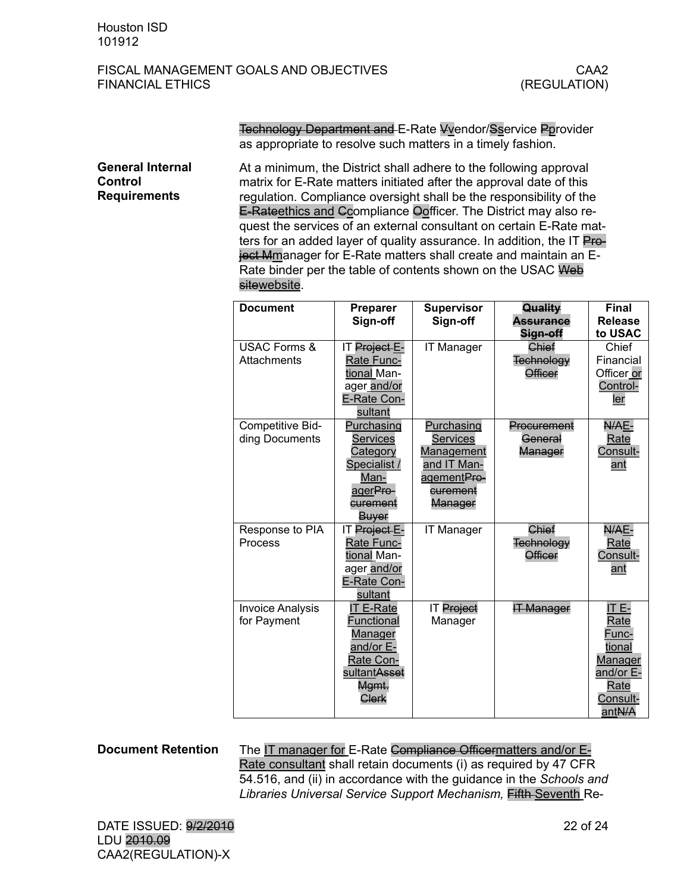Technology Department and E-Rate Vvendor/Sservice Pprovider as appropriate to resolve such matters in a timely fashion.

At a minimum, the District shall adhere to the following approval matrix for E-Rate matters initiated after the approval date of this regulation. Compliance oversight shall be the responsibility of the E-Rateethics and Ccompliance Oofficer. The District may also request the services of an external consultant on certain E-Rate matters for an added layer of quality assurance. In addition, the IT Project Mmanager for E-Rate matters shall create and maintain an E-Rate binder per the table of contents shown on the USAC Web sitewebsite. **General Internal Control Requirements**

| <b>Document</b>         | <b>Preparer</b>           | <b>Supervisor</b> | Quality           | Final                       |
|-------------------------|---------------------------|-------------------|-------------------|-----------------------------|
|                         | Sign-off                  | Sign-off          | <b>Assurance</b>  | <b>Release</b>              |
|                         |                           |                   | Sign-off          | to USAC                     |
| <b>USAC Forms &amp;</b> | IT Project E-             | <b>IT Manager</b> | Chief             | Chief                       |
| Attachments             | Rate Func-                |                   | Technology        | Financial                   |
|                         | tional Man-               |                   | <b>Officer</b>    | Officer or                  |
|                         | ager and/or               |                   |                   | Control-                    |
|                         | E-Rate Con-               |                   |                   | ler                         |
|                         | sultant                   |                   |                   |                             |
| Competitive Bid-        | Purchasing                | Purchasing        | Procurement       | N/AE-                       |
| ding Documents          | Services                  | <b>Services</b>   | General           | Rate                        |
|                         | Category                  | Management        | Manager           | Consult-                    |
|                         | Specialist /              | and IT Man-       |                   | ant                         |
|                         | Man-                      | agementPre-       |                   |                             |
|                         | ager <del>Pro-</del>      | curement          |                   |                             |
|                         | curement                  | Manager           |                   |                             |
|                         | Buyer                     |                   |                   |                             |
| Response to PIA         | IT Project E-             | <b>IT Manager</b> | Chief             | N/AE-                       |
| Process                 | Rate Func-                |                   | <b>Technology</b> | Rate                        |
|                         | tional Man-               |                   | <b>Officer</b>    | Consult-                    |
|                         | ager and/or               |                   |                   | ant                         |
|                         | E-Rate Con-               |                   |                   |                             |
|                         | sultant                   |                   |                   |                             |
| <b>Invoice Analysis</b> | <b>IT E-Rate</b>          | IT Project        | <b>IT Manager</b> | IT E-                       |
| for Payment             | Functional                | Manager           |                   | Rate                        |
|                         | <b>Manager</b>            |                   |                   | Func-                       |
|                         | and/or E-                 |                   |                   | tional                      |
|                         | Rate Con-<br>sultantAsset |                   |                   | <b>Manager</b><br>and/or E- |
|                         | Mgmt.                     |                   |                   | Rate                        |
|                         | Clerk                     |                   |                   | Consult-                    |
|                         |                           |                   |                   | antN/A                      |

#### **Document Retention**

The IT manager for E-Rate Compliance Officermatters and/or E-Rate consultant shall retain documents (i) as required by 47 CFR 54.516, and (ii) in accordance with the guidance in the *Schools and Libraries Universal Service Support Mechanism,* Fifth Seventh Re-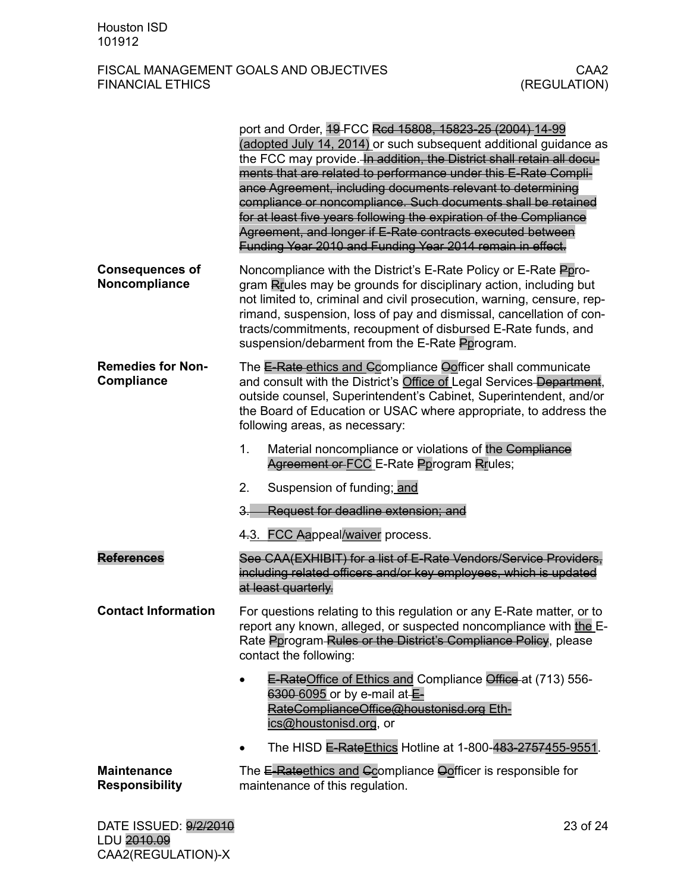|                                               | port and Order, 49 FCC Rcd 15808, 15823-25 (2004) 14-99<br>(adopted July 14, 2014) or such subsequent additional guidance as<br>the FCC may provide. In addition, the District shall retain all docu-<br>ments that are related to performance under this E-Rate Compli-<br>ance Agreement, including documents relevant to determining<br>compliance or noncompliance. Such documents shall be retained<br>for at least five years following the expiration of the Compliance<br>Agreement, and longer if E-Rate contracts executed between<br>Funding Year 2010 and Funding Year 2014 remain in effect. |  |  |
|-----------------------------------------------|-----------------------------------------------------------------------------------------------------------------------------------------------------------------------------------------------------------------------------------------------------------------------------------------------------------------------------------------------------------------------------------------------------------------------------------------------------------------------------------------------------------------------------------------------------------------------------------------------------------|--|--|
| <b>Consequences of</b><br>Noncompliance       | Noncompliance with the District's E-Rate Policy or E-Rate Ppro-<br>gram Rrules may be grounds for disciplinary action, including but<br>not limited to, criminal and civil prosecution, warning, censure, rep-<br>rimand, suspension, loss of pay and dismissal, cancellation of con-<br>tracts/commitments, recoupment of disbursed E-Rate funds, and<br>suspension/debarment from the E-Rate Pprogram.                                                                                                                                                                                                  |  |  |
| <b>Remedies for Non-</b><br><b>Compliance</b> | The E-Rate ethics and Gcompliance Oofficer shall communicate<br>and consult with the District's Office of Legal Services Department,<br>outside counsel, Superintendent's Cabinet, Superintendent, and/or<br>the Board of Education or USAC where appropriate, to address the<br>following areas, as necessary:                                                                                                                                                                                                                                                                                           |  |  |
|                                               | 1.<br>Material noncompliance or violations of the Compliance<br>Agreement or FCC E-Rate Pprogram Rrules;                                                                                                                                                                                                                                                                                                                                                                                                                                                                                                  |  |  |
|                                               | 2.<br>Suspension of funding; and                                                                                                                                                                                                                                                                                                                                                                                                                                                                                                                                                                          |  |  |
|                                               | Request for deadline extension; and<br>З.                                                                                                                                                                                                                                                                                                                                                                                                                                                                                                                                                                 |  |  |
|                                               | 4.3. FCC Aappeal/waiver process.                                                                                                                                                                                                                                                                                                                                                                                                                                                                                                                                                                          |  |  |
| <b>References</b>                             | See CAA(EXHIBIT) for a list of E-Rate Vendors/Service Providers,<br>including related officers and/or key employees, which is updated<br>at least quarterly.                                                                                                                                                                                                                                                                                                                                                                                                                                              |  |  |
| <b>Contact Information</b>                    | For questions relating to this regulation or any E-Rate matter, or to<br>report any known, alleged, or suspected noncompliance with the E-<br>Rate Pprogram Rules or the District's Compliance Policy, please<br>contact the following:                                                                                                                                                                                                                                                                                                                                                                   |  |  |
|                                               | E-RateOffice of Ethics and Compliance Office at (713) 556-<br>$\bullet$<br>6300 6095 or by e-mail at E-<br>RateComplianceOffice@houstonisd.org Eth-<br>ics@houstonisd.org, or                                                                                                                                                                                                                                                                                                                                                                                                                             |  |  |
|                                               | The HISD E-RateEthics Hotline at 1-800-483-2757455-9551.                                                                                                                                                                                                                                                                                                                                                                                                                                                                                                                                                  |  |  |
| <b>Maintenance</b><br><b>Responsibility</b>   | The E-Rateethics and Ccompliance Oofficer is responsible for<br>maintenance of this regulation.                                                                                                                                                                                                                                                                                                                                                                                                                                                                                                           |  |  |